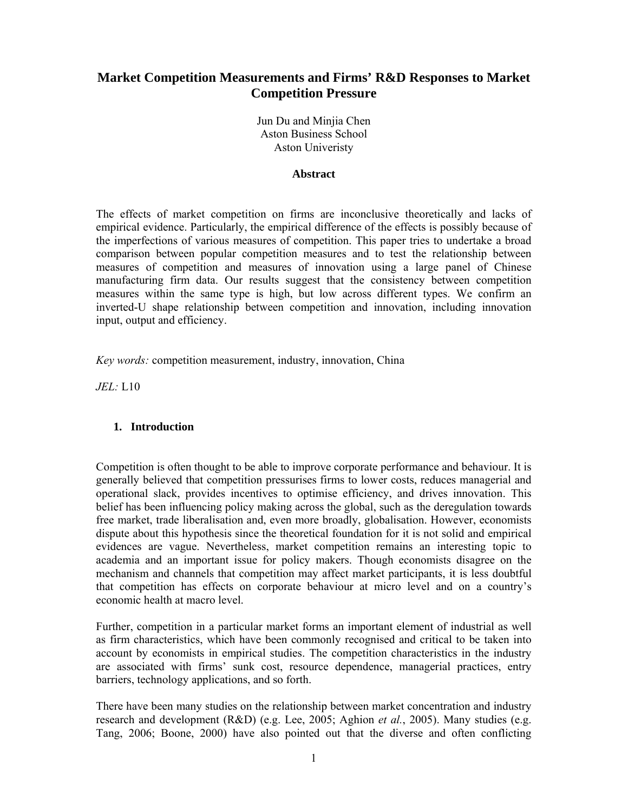# **Market Competition Measurements and Firms' R&D Responses to Market Competition Pressure**

Jun Du and Minjia Chen Aston Business School Aston Univeristy

#### **Abstract**

The effects of market competition on firms are inconclusive theoretically and lacks of empirical evidence. Particularly, the empirical difference of the effects is possibly because of the imperfections of various measures of competition. This paper tries to undertake a broad comparison between popular competition measures and to test the relationship between measures of competition and measures of innovation using a large panel of Chinese manufacturing firm data. Our results suggest that the consistency between competition measures within the same type is high, but low across different types. We confirm an inverted-U shape relationship between competition and innovation, including innovation input, output and efficiency.

*Key words:* competition measurement, industry, innovation, China

*JEL:* L10

# **1. Introduction**

Competition is often thought to be able to improve corporate performance and behaviour. It is generally believed that competition pressurises firms to lower costs, reduces managerial and operational slack, provides incentives to optimise efficiency, and drives innovation. This belief has been influencing policy making across the global, such as the deregulation towards free market, trade liberalisation and, even more broadly, globalisation. However, economists dispute about this hypothesis since the theoretical foundation for it is not solid and empirical evidences are vague. Nevertheless, market competition remains an interesting topic to academia and an important issue for policy makers. Though economists disagree on the mechanism and channels that competition may affect market participants, it is less doubtful that competition has effects on corporate behaviour at micro level and on a country's economic health at macro level.

Further, competition in a particular market forms an important element of industrial as well as firm characteristics, which have been commonly recognised and critical to be taken into account by economists in empirical studies. The competition characteristics in the industry are associated with firms' sunk cost, resource dependence, managerial practices, entry barriers, technology applications, and so forth.

There have been many studies on the relationship between market concentration and industry research and development (R&D) (e.g. Lee, 2005; Aghion *et al.*, 2005). Many studies (e.g. Tang, 2006; Boone, 2000) have also pointed out that the diverse and often conflicting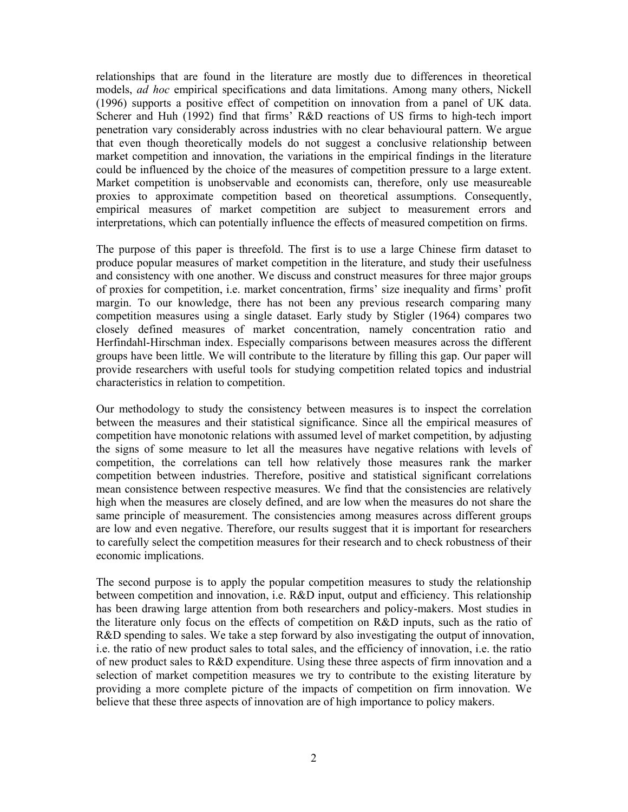relationships that are found in the literature are mostly due to differences in theoretical models, *ad hoc* empirical specifications and data limitations. Among many others, Nickell (1996) supports a positive effect of competition on innovation from a panel of UK data. Scherer and Huh (1992) find that firms' R&D reactions of US firms to high-tech import penetration vary considerably across industries with no clear behavioural pattern. We argue that even though theoretically models do not suggest a conclusive relationship between market competition and innovation, the variations in the empirical findings in the literature could be influenced by the choice of the measures of competition pressure to a large extent. Market competition is unobservable and economists can, therefore, only use measureable proxies to approximate competition based on theoretical assumptions. Consequently, empirical measures of market competition are subject to measurement errors and interpretations, which can potentially influence the effects of measured competition on firms.

The purpose of this paper is threefold. The first is to use a large Chinese firm dataset to produce popular measures of market competition in the literature, and study their usefulness and consistency with one another. We discuss and construct measures for three major groups of proxies for competition, i.e. market concentration, firms' size inequality and firms' profit margin. To our knowledge, there has not been any previous research comparing many competition measures using a single dataset. Early study by Stigler (1964) compares two closely defined measures of market concentration, namely concentration ratio and Herfindahl-Hirschman index. Especially comparisons between measures across the different groups have been little. We will contribute to the literature by filling this gap. Our paper will provide researchers with useful tools for studying competition related topics and industrial characteristics in relation to competition.

Our methodology to study the consistency between measures is to inspect the correlation between the measures and their statistical significance. Since all the empirical measures of competition have monotonic relations with assumed level of market competition, by adjusting the signs of some measure to let all the measures have negative relations with levels of competition, the correlations can tell how relatively those measures rank the marker competition between industries. Therefore, positive and statistical significant correlations mean consistence between respective measures. We find that the consistencies are relatively high when the measures are closely defined, and are low when the measures do not share the same principle of measurement. The consistencies among measures across different groups are low and even negative. Therefore, our results suggest that it is important for researchers to carefully select the competition measures for their research and to check robustness of their economic implications.

The second purpose is to apply the popular competition measures to study the relationship between competition and innovation, i.e. R&D input, output and efficiency. This relationship has been drawing large attention from both researchers and policy-makers. Most studies in the literature only focus on the effects of competition on R&D inputs, such as the ratio of R&D spending to sales. We take a step forward by also investigating the output of innovation, i.e. the ratio of new product sales to total sales, and the efficiency of innovation, i.e. the ratio of new product sales to R&D expenditure. Using these three aspects of firm innovation and a selection of market competition measures we try to contribute to the existing literature by providing a more complete picture of the impacts of competition on firm innovation. We believe that these three aspects of innovation are of high importance to policy makers.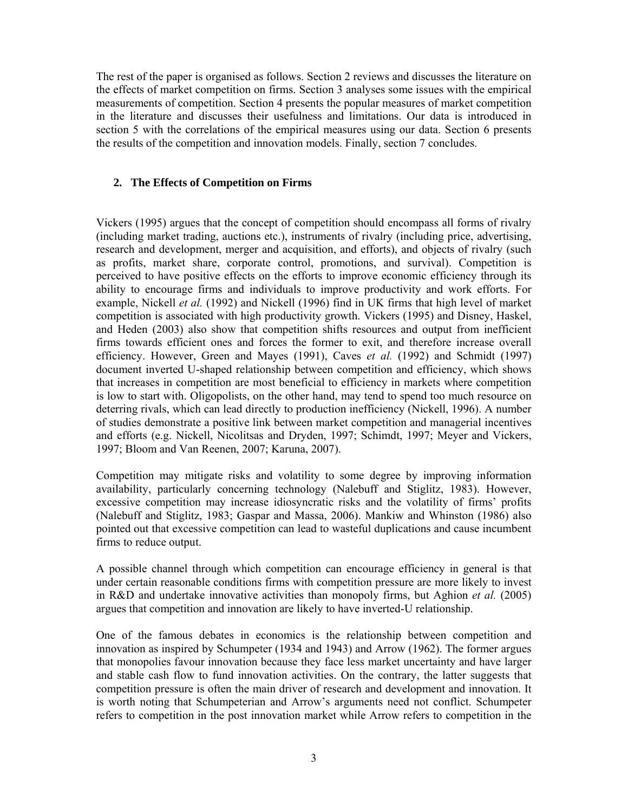The rest of the paper is organised as follows. Section 2 reviews and discusses the literature on the effects of market competition on firms. Section 3 analyses some issues with the empirical measurements of competition. Section 4 presents the popular measures of market competition in the literature and discusses their usefulness and limitations. Our data is introduced in section 5 with the correlations of the empirical measures using our data. Section 6 presents the results of the competition and innovation models. Finally, section 7 concludes.

# **2. The Effects of Competition on Firms**

Vickers (1995) argues that the concept of competition should encompass all forms of rivalry (including market trading, auctions etc.), instruments of rivalry (including price, advertising, research and development, merger and acquisition, and efforts), and objects of rivalry (such as profits, market share, corporate control, promotions, and survival). Competition is perceived to have positive effects on the efforts to improve economic efficiency through its ability to encourage firms and individuals to improve productivity and work efforts. For example, Nickell *et al.* (1992) and Nickell (1996) find in UK firms that high level of market competition is associated with high productivity growth. Vickers (1995) and Disney, Haskel, and Heden (2003) also show that competition shifts resources and output from inefficient firms towards efficient ones and forces the former to exit, and therefore increase overall efficiency. However, Green and Mayes (1991), Caves *et al.* (1992) and Schmidt (1997) document inverted U-shaped relationship between competition and efficiency, which shows that increases in competition are most beneficial to efficiency in markets where competition is low to start with. Oligopolists, on the other hand, may tend to spend too much resource on deterring rivals, which can lead directly to production inefficiency (Nickell, 1996). A number of studies demonstrate a positive link between market competition and managerial incentives and efforts (e.g. Nickell, Nicolitsas and Dryden, 1997; Schimdt, 1997; Meyer and Vickers, 1997; Bloom and Van Reenen, 2007; Karuna, 2007).

Competition may mitigate risks and volatility to some degree by improving information availability, particularly concerning technology (Nalebuff and Stiglitz, 1983). However, excessive competition may increase idiosyncratic risks and the volatility of firms' profits (Nalebuff and Stiglitz, 1983; Gaspar and Massa, 2006). Mankiw and Whinston (1986) also pointed out that excessive competition can lead to wasteful duplications and cause incumbent firms to reduce output.

A possible channel through which competition can encourage efficiency in general is that under certain reasonable conditions firms with competition pressure are more likely to invest in R&D and undertake innovative activities than monopoly firms, but Aghion *et al.* (2005) argues that competition and innovation are likely to have inverted-U relationship.

One of the famous debates in economics is the relationship between competition and innovation as inspired by Schumpeter (1934 and 1943) and Arrow (1962). The former argues that monopolies favour innovation because they face less market uncertainty and have larger and stable cash flow to fund innovation activities. On the contrary, the latter suggests that competition pressure is often the main driver of research and development and innovation. It is worth noting that Schumpeterian and Arrow's arguments need not conflict. Schumpeter refers to competition in the post innovation market while Arrow refers to competition in the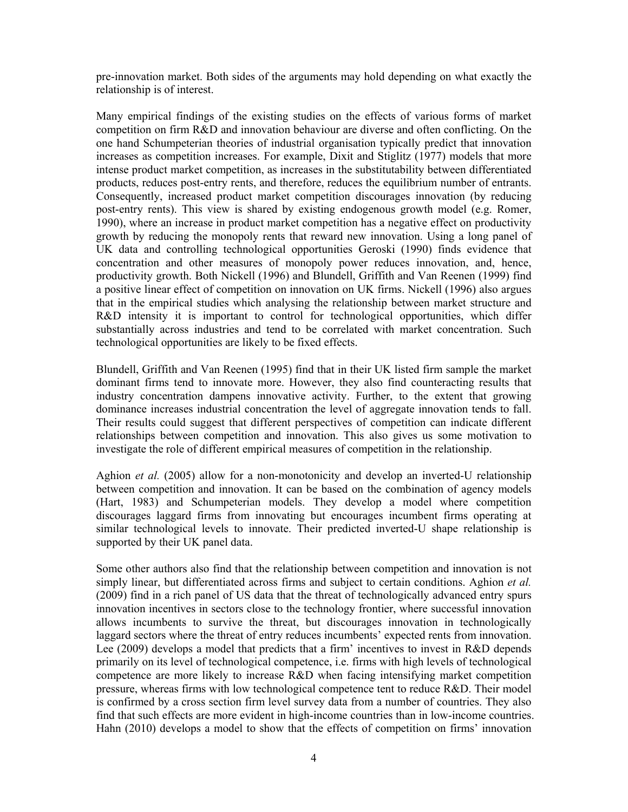pre-innovation market. Both sides of the arguments may hold depending on what exactly the relationship is of interest.

Many empirical findings of the existing studies on the effects of various forms of market competition on firm R&D and innovation behaviour are diverse and often conflicting. On the one hand Schumpeterian theories of industrial organisation typically predict that innovation increases as competition increases. For example, Dixit and Stiglitz (1977) models that more intense product market competition, as increases in the substitutability between differentiated products, reduces post-entry rents, and therefore, reduces the equilibrium number of entrants. Consequently, increased product market competition discourages innovation (by reducing post-entry rents). This view is shared by existing endogenous growth model (e.g. Romer, 1990), where an increase in product market competition has a negative effect on productivity growth by reducing the monopoly rents that reward new innovation. Using a long panel of UK data and controlling technological opportunities Geroski (1990) finds evidence that concentration and other measures of monopoly power reduces innovation, and, hence, productivity growth. Both Nickell (1996) and Blundell, Griffith and Van Reenen (1999) find a positive linear effect of competition on innovation on UK firms. Nickell (1996) also argues that in the empirical studies which analysing the relationship between market structure and R&D intensity it is important to control for technological opportunities, which differ substantially across industries and tend to be correlated with market concentration. Such technological opportunities are likely to be fixed effects.

Blundell, Griffith and Van Reenen (1995) find that in their UK listed firm sample the market dominant firms tend to innovate more. However, they also find counteracting results that industry concentration dampens innovative activity. Further, to the extent that growing dominance increases industrial concentration the level of aggregate innovation tends to fall. Their results could suggest that different perspectives of competition can indicate different relationships between competition and innovation. This also gives us some motivation to investigate the role of different empirical measures of competition in the relationship.

Aghion *et al.* (2005) allow for a non-monotonicity and develop an inverted-U relationship between competition and innovation. It can be based on the combination of agency models (Hart, 1983) and Schumpeterian models. They develop a model where competition discourages laggard firms from innovating but encourages incumbent firms operating at similar technological levels to innovate. Their predicted inverted-U shape relationship is supported by their UK panel data.

Some other authors also find that the relationship between competition and innovation is not simply linear, but differentiated across firms and subject to certain conditions. Aghion *et al.* (2009) find in a rich panel of US data that the threat of technologically advanced entry spurs innovation incentives in sectors close to the technology frontier, where successful innovation allows incumbents to survive the threat, but discourages innovation in technologically laggard sectors where the threat of entry reduces incumbents' expected rents from innovation. Lee (2009) develops a model that predicts that a firm' incentives to invest in R&D depends primarily on its level of technological competence, i.e. firms with high levels of technological competence are more likely to increase R&D when facing intensifying market competition pressure, whereas firms with low technological competence tent to reduce R&D. Their model is confirmed by a cross section firm level survey data from a number of countries. They also find that such effects are more evident in high-income countries than in low-income countries. Hahn (2010) develops a model to show that the effects of competition on firms' innovation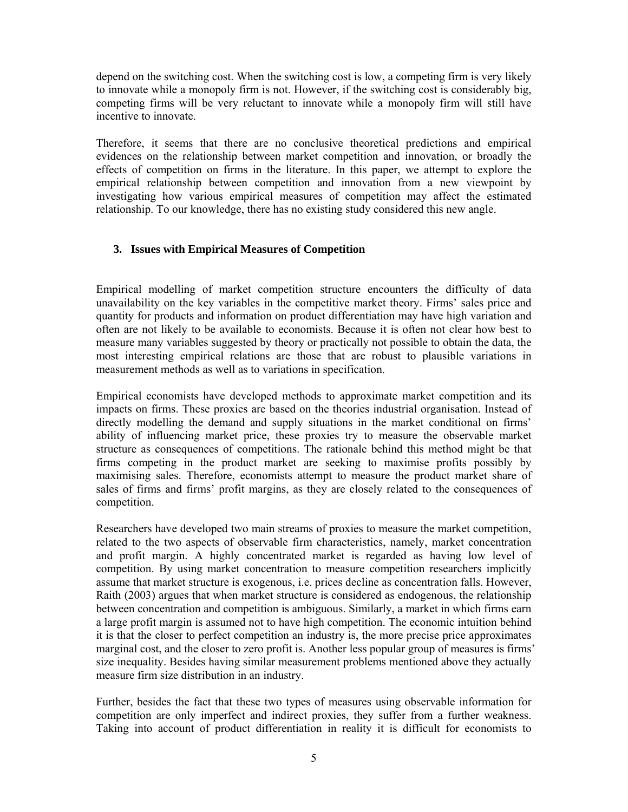depend on the switching cost. When the switching cost is low, a competing firm is very likely to innovate while a monopoly firm is not. However, if the switching cost is considerably big, competing firms will be very reluctant to innovate while a monopoly firm will still have incentive to innovate.

Therefore, it seems that there are no conclusive theoretical predictions and empirical evidences on the relationship between market competition and innovation, or broadly the effects of competition on firms in the literature. In this paper, we attempt to explore the empirical relationship between competition and innovation from a new viewpoint by investigating how various empirical measures of competition may affect the estimated relationship. To our knowledge, there has no existing study considered this new angle.

# **3. Issues with Empirical Measures of Competition**

Empirical modelling of market competition structure encounters the difficulty of data unavailability on the key variables in the competitive market theory. Firms' sales price and quantity for products and information on product differentiation may have high variation and often are not likely to be available to economists. Because it is often not clear how best to measure many variables suggested by theory or practically not possible to obtain the data, the most interesting empirical relations are those that are robust to plausible variations in measurement methods as well as to variations in specification.

Empirical economists have developed methods to approximate market competition and its impacts on firms. These proxies are based on the theories industrial organisation. Instead of directly modelling the demand and supply situations in the market conditional on firms' ability of influencing market price, these proxies try to measure the observable market structure as consequences of competitions. The rationale behind this method might be that firms competing in the product market are seeking to maximise profits possibly by maximising sales. Therefore, economists attempt to measure the product market share of sales of firms and firms' profit margins, as they are closely related to the consequences of competition.

Researchers have developed two main streams of proxies to measure the market competition, related to the two aspects of observable firm characteristics, namely, market concentration and profit margin. A highly concentrated market is regarded as having low level of competition. By using market concentration to measure competition researchers implicitly assume that market structure is exogenous, i.e. prices decline as concentration falls. However, Raith (2003) argues that when market structure is considered as endogenous, the relationship between concentration and competition is ambiguous. Similarly, a market in which firms earn a large profit margin is assumed not to have high competition. The economic intuition behind it is that the closer to perfect competition an industry is, the more precise price approximates marginal cost, and the closer to zero profit is. Another less popular group of measures is firms' size inequality. Besides having similar measurement problems mentioned above they actually measure firm size distribution in an industry.

Further, besides the fact that these two types of measures using observable information for competition are only imperfect and indirect proxies, they suffer from a further weakness. Taking into account of product differentiation in reality it is difficult for economists to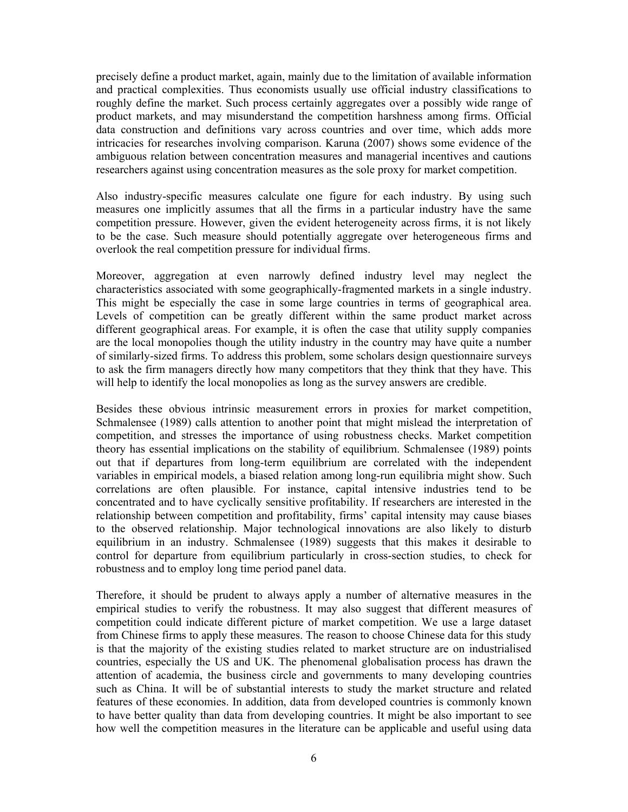precisely define a product market, again, mainly due to the limitation of available information and practical complexities. Thus economists usually use official industry classifications to roughly define the market. Such process certainly aggregates over a possibly wide range of product markets, and may misunderstand the competition harshness among firms. Official data construction and definitions vary across countries and over time, which adds more intricacies for researches involving comparison. Karuna (2007) shows some evidence of the ambiguous relation between concentration measures and managerial incentives and cautions researchers against using concentration measures as the sole proxy for market competition.

Also industry-specific measures calculate one figure for each industry. By using such measures one implicitly assumes that all the firms in a particular industry have the same competition pressure. However, given the evident heterogeneity across firms, it is not likely to be the case. Such measure should potentially aggregate over heterogeneous firms and overlook the real competition pressure for individual firms.

Moreover, aggregation at even narrowly defined industry level may neglect the characteristics associated with some geographically-fragmented markets in a single industry. This might be especially the case in some large countries in terms of geographical area. Levels of competition can be greatly different within the same product market across different geographical areas. For example, it is often the case that utility supply companies are the local monopolies though the utility industry in the country may have quite a number of similarly-sized firms. To address this problem, some scholars design questionnaire surveys to ask the firm managers directly how many competitors that they think that they have. This will help to identify the local monopolies as long as the survey answers are credible.

Besides these obvious intrinsic measurement errors in proxies for market competition, Schmalensee (1989) calls attention to another point that might mislead the interpretation of competition, and stresses the importance of using robustness checks. Market competition theory has essential implications on the stability of equilibrium. Schmalensee (1989) points out that if departures from long-term equilibrium are correlated with the independent variables in empirical models, a biased relation among long-run equilibria might show. Such correlations are often plausible. For instance, capital intensive industries tend to be concentrated and to have cyclically sensitive profitability. If researchers are interested in the relationship between competition and profitability, firms' capital intensity may cause biases to the observed relationship. Major technological innovations are also likely to disturb equilibrium in an industry. Schmalensee (1989) suggests that this makes it desirable to control for departure from equilibrium particularly in cross-section studies, to check for robustness and to employ long time period panel data.

Therefore, it should be prudent to always apply a number of alternative measures in the empirical studies to verify the robustness. It may also suggest that different measures of competition could indicate different picture of market competition. We use a large dataset from Chinese firms to apply these measures. The reason to choose Chinese data for this study is that the majority of the existing studies related to market structure are on industrialised countries, especially the US and UK. The phenomenal globalisation process has drawn the attention of academia, the business circle and governments to many developing countries such as China. It will be of substantial interests to study the market structure and related features of these economies. In addition, data from developed countries is commonly known to have better quality than data from developing countries. It might be also important to see how well the competition measures in the literature can be applicable and useful using data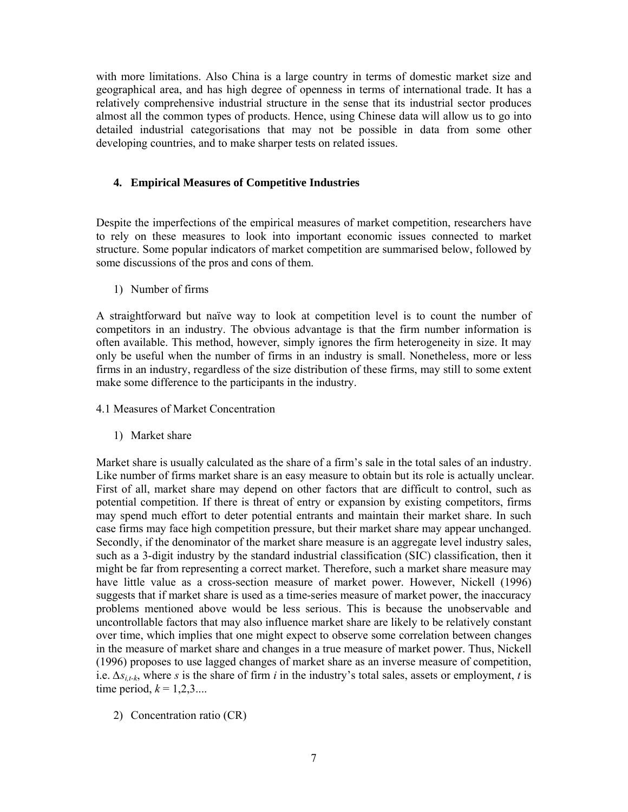with more limitations. Also China is a large country in terms of domestic market size and geographical area, and has high degree of openness in terms of international trade. It has a relatively comprehensive industrial structure in the sense that its industrial sector produces almost all the common types of products. Hence, using Chinese data will allow us to go into detailed industrial categorisations that may not be possible in data from some other developing countries, and to make sharper tests on related issues.

# **4. Empirical Measures of Competitive Industries**

Despite the imperfections of the empirical measures of market competition, researchers have to rely on these measures to look into important economic issues connected to market structure. Some popular indicators of market competition are summarised below, followed by some discussions of the pros and cons of them.

1) Number of firms

A straightforward but naïve way to look at competition level is to count the number of competitors in an industry. The obvious advantage is that the firm number information is often available. This method, however, simply ignores the firm heterogeneity in size. It may only be useful when the number of firms in an industry is small. Nonetheless, more or less firms in an industry, regardless of the size distribution of these firms, may still to some extent make some difference to the participants in the industry.

- 4.1 Measures of Market Concentration
	- 1) Market share

Market share is usually calculated as the share of a firm's sale in the total sales of an industry. Like number of firms market share is an easy measure to obtain but its role is actually unclear. First of all, market share may depend on other factors that are difficult to control, such as potential competition. If there is threat of entry or expansion by existing competitors, firms may spend much effort to deter potential entrants and maintain their market share. In such case firms may face high competition pressure, but their market share may appear unchanged. Secondly, if the denominator of the market share measure is an aggregate level industry sales, such as a 3-digit industry by the standard industrial classification (SIC) classification, then it might be far from representing a correct market. Therefore, such a market share measure may have little value as a cross-section measure of market power. However, Nickell (1996) suggests that if market share is used as a time-series measure of market power, the inaccuracy problems mentioned above would be less serious. This is because the unobservable and uncontrollable factors that may also influence market share are likely to be relatively constant over time, which implies that one might expect to observe some correlation between changes in the measure of market share and changes in a true measure of market power. Thus, Nickell (1996) proposes to use lagged changes of market share as an inverse measure of competition, i.e. *∆si,t-k*, where *s* is the share of firm *i* in the industry's total sales, assets or employment, *t* is time period,  $k = 1, 2, 3...$ 

2) Concentration ratio (CR)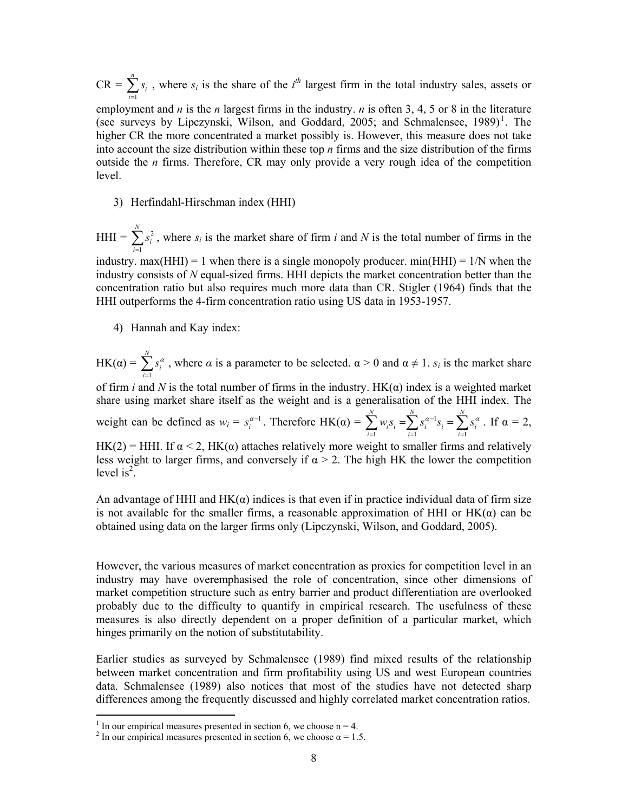$CR = \sum_{i=1}^{n}$  $\sum_{i=1}^{\infty}$ <sup>3</sup><sub>i</sub> *s*  $\sum_{i=1} s_i$ , where  $s_i$  is the share of the *i*<sup>th</sup> largest firm in the total industry sales, assets or employment and *n* is the *n* largest firms in the industry. *n* is often 3, 4, 5 or 8 in the literature (see surveys by Lipczynski, Wilson, and Goddard, 2005; and Schmalensee,  $1989$ <sup>1</sup>. The higher CR the more concentrated a market possibly is. However, this measure does not take into account the size distribution within these top *n* firms and the size distribution of the firms outside the *n* firms. Therefore, CR may only provide a very rough idea of the competition level.

3) Herfindahl-Hirschman index (HHI)

 $HHI = \sum s_i^2$ 1 *N*  $\sum_{i=1}^{\infty}$ <sup>3</sup><sub>*i*</sub> *s*  $\sum_{i=1}^{n} s_i^2$ , where  $s_i$  is the market share of firm *i* and *N* is the total number of firms in the industry. max(HHI) = 1 when there is a single monopoly producer. min(HHI) =  $1/N$  when the

industry consists of *N* equal-sized firms. HHI depicts the market concentration better than the concentration ratio but also requires much more data than CR. Stigler (1964) finds that the HHI outperforms the 4-firm concentration ratio using US data in 1953-1957.

4) Hannah and Kay index:

 $HK(\alpha) = \sum_{i=1}^{N}$  $\sum_{i=1}^{3}$ <sup>3</sup>  $s_i^{\alpha}$  $\sum_{i=1} s_i^{\alpha}$ , where  $\alpha$  is a parameter to be selected.  $\alpha > 0$  and  $\alpha \neq 1$ .  $s_i$  is the market share of firm *i* and *N* is the total number of firms in the industry.  $HK(\alpha)$  index is a weighted market share using market share itself as the weight and is a generalisation of the HHI index. The weight can be defined as  $w_i = s_i^{\alpha-1}$ . Therefore HK( $\alpha$ ) =  $\sum w_i s_i = \sum s_i^{\alpha-1}$  $i=1$   $i=1$ *NN N*  $\sum_{i=1}^{W_i} \sum_{j=1}^{W_i} \sum_{j=1}^{W_i} \sum_{j=1}^{W_i} \sum_{j=1}^{W_i} \sum_{j=1}^{W_i} \sum_{j=1}^{W_i} \sum_{j=1}^{W_i} \sum_{j=1}^{W_i} \sum_{j=1}^{W_i} \sum_{j=1}^{W_i} \sum_{j=1}^{W_i} \sum_{j=1}^{W_i} \sum_{j=1}^{W_i} \sum_{j=1}^{W_i} \sum_{j=1}^{W_i} \sum_{j=1}^{W_i} \sum_{j=1}^{W_i} \sum_{j=1}^{W_i} \sum_{j=1}^{W_i}$  $w_i s_i = \sum s_i^{\alpha - 1} s_i = \sum s_i^{\alpha}$  $\sum_{i=1}^{n} w_i s_i = \sum_{i=1}^{n} s_i^{\alpha-1} s_i = \sum_{i=1}^{n} s_i^{\alpha}$ . If  $\alpha = 2$ , HK(2) = HHI. If  $\alpha$  < 2, HK( $\alpha$ ) attaches relatively more weight to smaller firms and relatively less weight to larger firms, and conversely if  $\alpha > 2$ . The high HK the lower the competition level is<sup>2</sup>.

An advantage of HHI and  $HK(\alpha)$  indices is that even if in practice individual data of firm size is not available for the smaller firms, a reasonable approximation of HHI or  $HK(\alpha)$  can be obtained using data on the larger firms only (Lipczynski, Wilson, and Goddard, 2005).

However, the various measures of market concentration as proxies for competition level in an industry may have overemphasised the role of concentration, since other dimensions of market competition structure such as entry barrier and product differentiation are overlooked probably due to the difficulty to quantify in empirical research. The usefulness of these measures is also directly dependent on a proper definition of a particular market, which hinges primarily on the notion of substitutability.

Earlier studies as surveyed by Schmalensee (1989) find mixed results of the relationship between market concentration and firm profitability using US and west European countries data. Schmalensee (1989) also notices that most of the studies have not detected sharp differences among the frequently discussed and highly correlated market concentration ratios.

 $\frac{1}{1}$  In our empirical measures presented in section 6, we choose n = 4.

<sup>&</sup>lt;sup>2</sup> In our empirical measures presented in section 6, we choose  $\alpha = 1.5$ .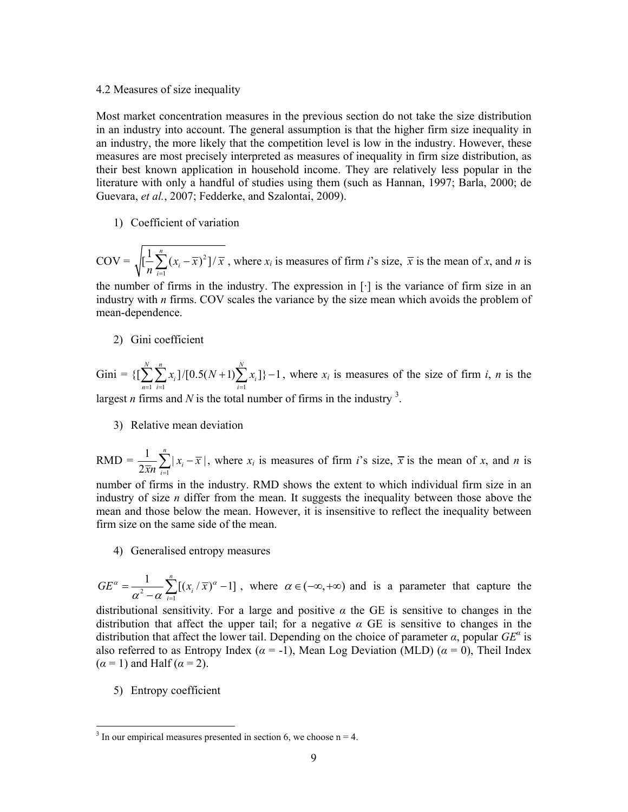#### 4.2 Measures of size inequality

Most market concentration measures in the previous section do not take the size distribution in an industry into account. The general assumption is that the higher firm size inequality in an industry, the more likely that the competition level is low in the industry. However, these measures are most precisely interpreted as measures of inequality in firm size distribution, as their best known application in household income. They are relatively less popular in the literature with only a handful of studies using them (such as Hannan, 1997; Barla, 2000; de Guevara, *et al.*, 2007; Fedderke, and Szalontai, 2009).

1) Coefficient of variation

 $\text{COV} = \sqrt{(-\sum (x_i - \overline{x})^2)}$ 1  $\left[ \frac{1}{2} \sum_{i=1}^{n} (x_i - \overline{x})^2 \right]$  $\sum_{i=1}$ <sup>( $\lambda_i$ </sup>  $(x_i - \overline{x})^2$   $\frac{1}{x}$  $\frac{1}{n} \sum_{i=1}^{n} (x_i - \overline{x})^2 / (\overline{x})$ , where  $x_i$  is measures of firm *i*'s size,  $\overline{x}$  is the mean of *x*, and *n* is

the number of firms in the industry. The expression in [·] is the variance of firm size in an industry with *n* firms. COV scales the variance by the size mean which avoids the problem of mean-dependence.

2) Gini coefficient

Gini =  $\left\{ \left[ \sum_{n=1}^{N} \sum_{i=1}^{n} x_i \right] / \left[ 0.5(N+1) \sum_{i=1}^{N} x_i \right] \right\} - 1$  $\sum_{n=1}^{\infty} \sum_{i=1}^{\infty} \frac{\lambda_i}{n!} \Gamma^{(0,3)}(N+1) \sum_{i=1}^{\infty} \frac{\lambda_i}{n!}$  $x_i$ ]/[0.5(N + 1) $\sum x_i$  $\sum_{n=1}^{\infty} \sum_{i=1}^{\infty} x_i \cdot [0.5(N+1)] \cdot \sum_{i=1}^{\infty} x_i] - 1$ , where  $x_i$  is measures of the size of firm *i*, *n* is the largest *n* firms and *N* is the total number of firms in the industry  $3$ .

3) Relative mean deviation

 $RMD = \frac{1}{2\overline{x}n} \sum_{i=1}^{n} |x_i - \overline{x}|$  $\sum_{i=1}^{\infty}$ <sup>1</sup>  $x_i - \overline{x}$  $\frac{1}{\overline{x}}\sum_{i=1}^{\infty} |x_i - \overline{x}|$ , where  $x_i$  is measures of firm *i*'s size,  $\overline{x}$  is the mean of *x*, and *n* is

number of firms in the industry. RMD shows the extent to which individual firm size in an industry of size *n* differ from the mean. It suggests the inequality between those above the mean and those below the mean. However, it is insensitive to reflect the inequality between firm size on the same side of the mean.

4) Generalised entropy measures

$$
GE^{\alpha} = \frac{1}{\alpha^2 - \alpha} \sum_{i=1}^{n} [(x_i / \overline{x})^{\alpha} - 1],
$$
 where  $\alpha \in (-\infty, +\infty)$  and is a parameter that capture the

distributional sensitivity. For a large and positive  $\alpha$  the GE is sensitive to changes in the distribution that affect the upper tail; for a negative  $\alpha$  GE is sensitive to changes in the distribution that affect the lower tail. Depending on the choice of parameter  $\alpha$ , popular  $GE^{\alpha}$  is also referred to as Entropy Index ( $\alpha$  = -1), Mean Log Deviation (MLD) ( $\alpha$  = 0), Theil Index  $(\alpha = 1)$  and Half  $(\alpha = 2)$ .

5) Entropy coefficient

 $\frac{3}{3}$  In our empirical measures presented in section 6, we choose n = 4.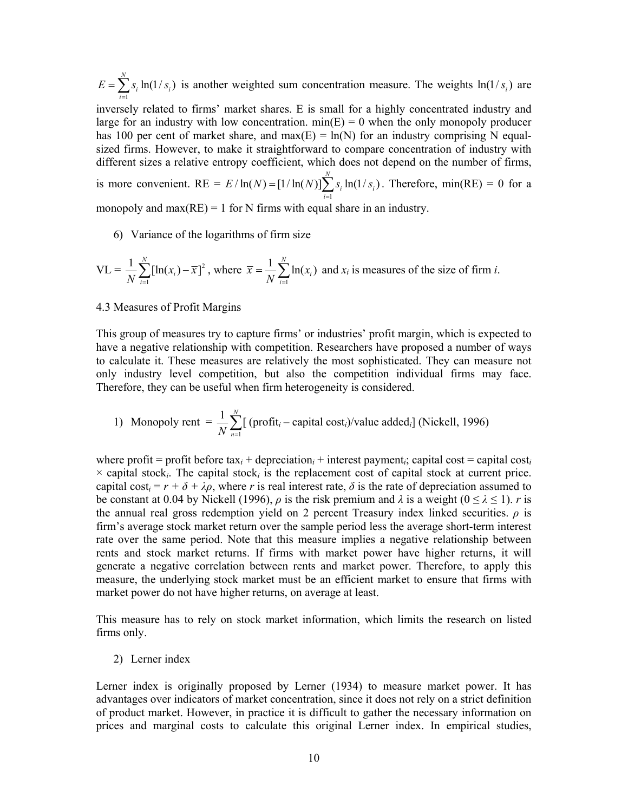1  $\sum_{i=1}^{N} s_i \ln(1/s_i)$  $\sum_{i=1}^{\infty} a_i$  iii(17  $a_i$  $E = \sum s_i \ln(1/s)$  $=\sum_{i=1} s_i \ln(1/s_i)$  is another weighted sum concentration measure. The weights  $\ln(1/s_i)$  are inversely related to firms' market shares. E is small for a highly concentrated industry and large for an industry with low concentration.  $min(E) = 0$  when the only monopoly producer has 100 per cent of market share, and max(E) =  $ln(N)$  for an industry comprising N equalsized firms. However, to make it straightforward to compare concentration of industry with different sizes a relative entropy coefficient, which does not depend on the number of firms, is more convenient. RE =  $E / \ln(N) = [1 / \ln(N)] \sum_{i=1}^{N} s_i \ln(1 / s_i)$  $\sum_{i=1}^{3} a_i$  **i**<sup>(173</sup>)<sup>*i*</sup>  $E/\ln(N) = [1/\ln(N)] \sum s_i \ln(1/s)$  $=[1/\ln(N)]\sum_{i=1}^{N} s_i \ln(1/s_i)$ . Therefore, min(RE) = 0 for a

monopoly and max $(RE) = 1$  for N firms with equal share in an industry.

6) Variance of the logarithms of firm size

$$
VL = \frac{1}{N} \sum_{i=1}^{N} [\ln(x_i) - \overline{x}]^2
$$
, where  $\overline{x} = \frac{1}{N} \sum_{i=1}^{N} \ln(x_i)$  and  $x_i$  is measures of the size of firm *i*.

#### 4.3 Measures of Profit Margins

This group of measures try to capture firms' or industries' profit margin, which is expected to have a negative relationship with competition. Researchers have proposed a number of ways to calculate it. These measures are relatively the most sophisticated. They can measure not only industry level competition, but also the competition individual firms may face. Therefore, they can be useful when firm heterogeneity is considered.

1) Monopoly rent = 
$$
\frac{1}{N} \sum_{n=1}^{N} [ (profit_i - capital cost_i)/value added_i ] (Nickell, 1996)
$$

where profit = profit before  $\text{tax}_i$  + depreciation<sub>i</sub> + interest payment<sub>i</sub>; capital cost = capital cost<sub>i</sub>  $\times$  capital stock<sub>*i*</sub>. The capital stock<sub>*i*</sub> is the replacement cost of capital stock at current price. capital cost<sub>i</sub> =  $r + \delta + \lambda \rho$ , where *r* is real interest rate,  $\delta$  is the rate of depreciation assumed to be constant at 0.04 by Nickell (1996),  $\rho$  is the risk premium and  $\lambda$  is a weight ( $0 \le \lambda \le 1$ ). *r* is the annual real gross redemption yield on 2 percent Treasury index linked securities.  $\rho$  is firm's average stock market return over the sample period less the average short-term interest rate over the same period. Note that this measure implies a negative relationship between rents and stock market returns. If firms with market power have higher returns, it will generate a negative correlation between rents and market power. Therefore, to apply this measure, the underlying stock market must be an efficient market to ensure that firms with market power do not have higher returns, on average at least.

This measure has to rely on stock market information, which limits the research on listed firms only.

2) Lerner index

Lerner index is originally proposed by Lerner (1934) to measure market power. It has advantages over indicators of market concentration, since it does not rely on a strict definition of product market. However, in practice it is difficult to gather the necessary information on prices and marginal costs to calculate this original Lerner index. In empirical studies,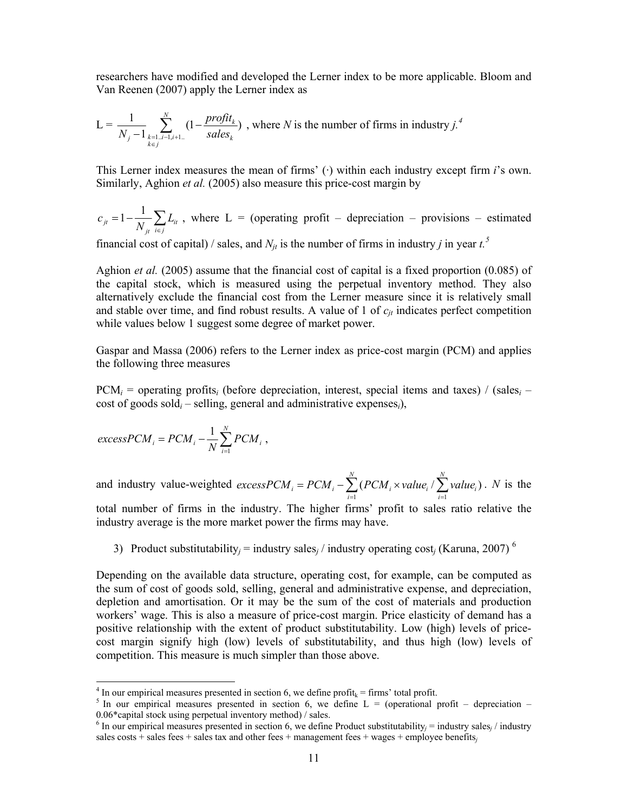researchers have modified and developed the Lerner index to be more applicable. Bloom and Van Reenen (2007) apply the Lerner index as

$$
L = \frac{1}{N_j - 1} \sum_{\substack{k=1 \ldots i-1, i+1, \ldots \\ k \in j}}^{N} (1 - \frac{profit_k}{sales_k})
$$
, where *N* is the number of firms in industry *j*.<sup>4</sup>

This Lerner index measures the mean of firms' (·) within each industry except firm *i*'s own. Similarly, Aghion *et al.* (2005) also measure this price-cost margin by

$$
c_{ji} = 1 - \frac{1}{N_{ji}} \sum_{i \in j} L_{ii}
$$
, where L = (operating profit – depreciation – provisions – estimated

financial cost of capital) / sales, and  $N_{jt}$  is the number of firms in industry *j* in year  $t^5$ .

Aghion *et al.* (2005) assume that the financial cost of capital is a fixed proportion (0.085) of the capital stock, which is measured using the perpetual inventory method. They also alternatively exclude the financial cost from the Lerner measure since it is relatively small and stable over time, and find robust results. A value of 1 of  $c_{it}$  indicates perfect competition while values below 1 suggest some degree of market power.

Gaspar and Massa (2006) refers to the Lerner index as price-cost margin (PCM) and applies the following three measures

 $PCM_i$  = operating profits<sub>*i*</sub> (before depreciation, interest, special items and taxes) / (sales<sub>*i*</sub> – cost of goods sold*i* – selling, general and administrative expenses*i*),

$$
excessPCM_i = PCM_i - \frac{1}{N} \sum_{i=1}^{N} PCM_i ,
$$

-

and industry value-weighted  $excessPCM_i = PCM_i - \sum_{i=1}^{N} (PCM_i \times value_i / \sum_{i=1}^{N} value_i)$  $\sum_{i=1}^i$   $\sum_{i=1}^i$   $\sum_{i=1}^i$   $\sum_{i=1}^i$   $\sum_{i=1}^i$   $\sum_{i=1}^i$   $\sum_{i=1}^i$   $\sum_{i=1}^i$  $excessPCM_i = PCM_i - \sum (PCM_i \times value_i / \sum value_i)$  $= PCM_i - \sum_{i=1} (PCM_i \times value_i / \sum_{i=1} value_i)$ . *N* is the total number of firms in the industry. The higher firms' profit to sales ratio relative the industry average is the more market power the firms may have.

3) Product substitutability<sub>*j*</sub> = industry sales<sub>*i*</sub> / industry operating cost<sub>*i*</sub> (Karuna, 2007)<sup>6</sup>

Depending on the available data structure, operating cost, for example, can be computed as the sum of cost of goods sold, selling, general and administrative expense, and depreciation, depletion and amortisation. Or it may be the sum of the cost of materials and production workers' wage. This is also a measure of price-cost margin. Price elasticity of demand has a positive relationship with the extent of product substitutability. Low (high) levels of pricecost margin signify high (low) levels of substitutability, and thus high (low) levels of competition. This measure is much simpler than those above.

<sup>&</sup>lt;sup>4</sup> In our empirical measures presented in section 6, we define profit<sub>k</sub> = firms' total profit.

<sup>&</sup>lt;sup>5</sup> In our empirical measures presented in section 6, we define L = (operational profit – depreciation – 0.06\*capital stock using perpetual inventory method) / sales.

<sup>&</sup>lt;sup>6</sup> In our empirical measures presented in section 6, we define Product substitutability<sub>j</sub> = industry sales<sub>j</sub> / industry sales costs + sales fees + sales tax and other fees + management fees + wages + employee benefits*j*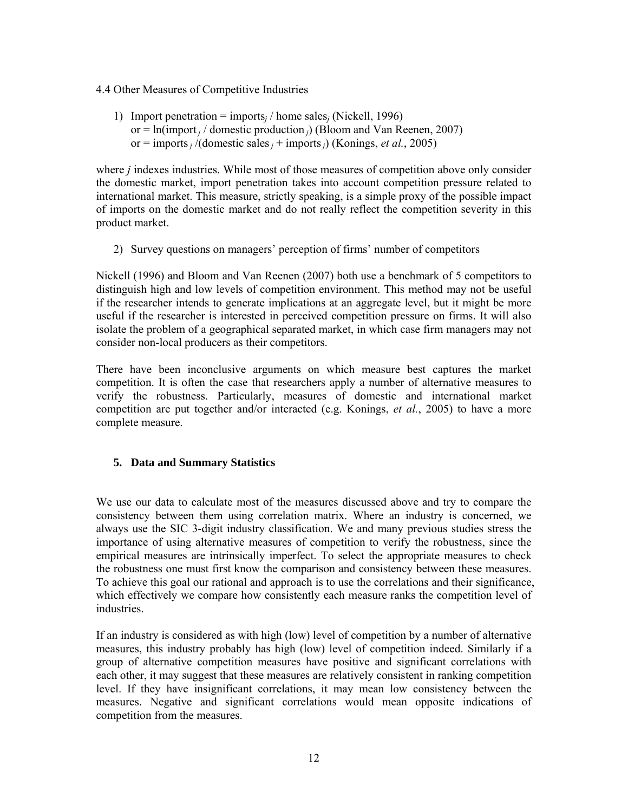- 4.4 Other Measures of Competitive Industries
	- 1) Import penetration = imports*j* / home sales*j* (Nickell, 1996) or = ln(import *j* / domestic production *j*) (Bloom and Van Reenen, 2007) or = imports *j* /(domestic sales *j* + imports *j*) (Konings, *et al.*, 2005)

where *j* indexes industries. While most of those measures of competition above only consider the domestic market, import penetration takes into account competition pressure related to international market. This measure, strictly speaking, is a simple proxy of the possible impact of imports on the domestic market and do not really reflect the competition severity in this product market.

2) Survey questions on managers' perception of firms' number of competitors

Nickell (1996) and Bloom and Van Reenen (2007) both use a benchmark of 5 competitors to distinguish high and low levels of competition environment. This method may not be useful if the researcher intends to generate implications at an aggregate level, but it might be more useful if the researcher is interested in perceived competition pressure on firms. It will also isolate the problem of a geographical separated market, in which case firm managers may not consider non-local producers as their competitors.

There have been inconclusive arguments on which measure best captures the market competition. It is often the case that researchers apply a number of alternative measures to verify the robustness. Particularly, measures of domestic and international market competition are put together and/or interacted (e.g. Konings, *et al.*, 2005) to have a more complete measure.

# **5. Data and Summary Statistics**

We use our data to calculate most of the measures discussed above and try to compare the consistency between them using correlation matrix. Where an industry is concerned, we always use the SIC 3-digit industry classification. We and many previous studies stress the importance of using alternative measures of competition to verify the robustness, since the empirical measures are intrinsically imperfect. To select the appropriate measures to check the robustness one must first know the comparison and consistency between these measures. To achieve this goal our rational and approach is to use the correlations and their significance, which effectively we compare how consistently each measure ranks the competition level of industries.

If an industry is considered as with high (low) level of competition by a number of alternative measures, this industry probably has high (low) level of competition indeed. Similarly if a group of alternative competition measures have positive and significant correlations with each other, it may suggest that these measures are relatively consistent in ranking competition level. If they have insignificant correlations, it may mean low consistency between the measures. Negative and significant correlations would mean opposite indications of competition from the measures.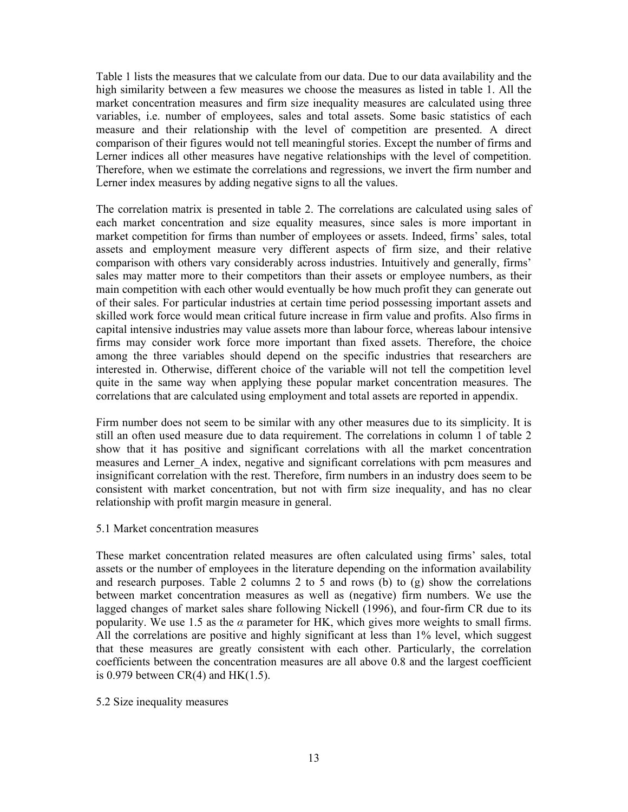Table 1 lists the measures that we calculate from our data. Due to our data availability and the high similarity between a few measures we choose the measures as listed in table 1. All the market concentration measures and firm size inequality measures are calculated using three variables, i.e. number of employees, sales and total assets. Some basic statistics of each measure and their relationship with the level of competition are presented. A direct comparison of their figures would not tell meaningful stories. Except the number of firms and Lerner indices all other measures have negative relationships with the level of competition. Therefore, when we estimate the correlations and regressions, we invert the firm number and Lerner index measures by adding negative signs to all the values.

The correlation matrix is presented in table 2. The correlations are calculated using sales of each market concentration and size equality measures, since sales is more important in market competition for firms than number of employees or assets. Indeed, firms' sales, total assets and employment measure very different aspects of firm size, and their relative comparison with others vary considerably across industries. Intuitively and generally, firms' sales may matter more to their competitors than their assets or employee numbers, as their main competition with each other would eventually be how much profit they can generate out of their sales. For particular industries at certain time period possessing important assets and skilled work force would mean critical future increase in firm value and profits. Also firms in capital intensive industries may value assets more than labour force, whereas labour intensive firms may consider work force more important than fixed assets. Therefore, the choice among the three variables should depend on the specific industries that researchers are interested in. Otherwise, different choice of the variable will not tell the competition level quite in the same way when applying these popular market concentration measures. The correlations that are calculated using employment and total assets are reported in appendix.

Firm number does not seem to be similar with any other measures due to its simplicity. It is still an often used measure due to data requirement. The correlations in column 1 of table 2 show that it has positive and significant correlations with all the market concentration measures and Lerner A index, negative and significant correlations with pcm measures and insignificant correlation with the rest. Therefore, firm numbers in an industry does seem to be consistent with market concentration, but not with firm size inequality, and has no clear relationship with profit margin measure in general.

# 5.1 Market concentration measures

These market concentration related measures are often calculated using firms' sales, total assets or the number of employees in the literature depending on the information availability and research purposes. Table 2 columns 2 to 5 and rows (b) to  $(g)$  show the correlations between market concentration measures as well as (negative) firm numbers. We use the lagged changes of market sales share following Nickell (1996), and four-firm CR due to its popularity. We use 1.5 as the  $\alpha$  parameter for HK, which gives more weights to small firms. All the correlations are positive and highly significant at less than 1% level, which suggest that these measures are greatly consistent with each other. Particularly, the correlation coefficients between the concentration measures are all above 0.8 and the largest coefficient is 0.979 between  $CR(4)$  and  $HK(1.5)$ .

# 5.2 Size inequality measures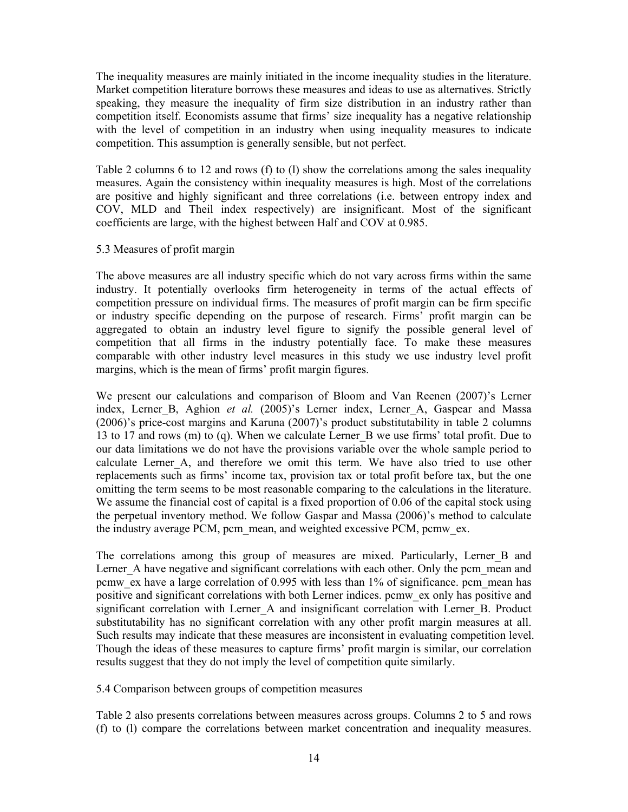The inequality measures are mainly initiated in the income inequality studies in the literature. Market competition literature borrows these measures and ideas to use as alternatives. Strictly speaking, they measure the inequality of firm size distribution in an industry rather than competition itself. Economists assume that firms' size inequality has a negative relationship with the level of competition in an industry when using inequality measures to indicate competition. This assumption is generally sensible, but not perfect.

Table 2 columns 6 to 12 and rows (f) to (l) show the correlations among the sales inequality measures. Again the consistency within inequality measures is high. Most of the correlations are positive and highly significant and three correlations (i.e. between entropy index and COV, MLD and Theil index respectively) are insignificant. Most of the significant coefficients are large, with the highest between Half and COV at 0.985.

# 5.3 Measures of profit margin

The above measures are all industry specific which do not vary across firms within the same industry. It potentially overlooks firm heterogeneity in terms of the actual effects of competition pressure on individual firms. The measures of profit margin can be firm specific or industry specific depending on the purpose of research. Firms' profit margin can be aggregated to obtain an industry level figure to signify the possible general level of competition that all firms in the industry potentially face. To make these measures comparable with other industry level measures in this study we use industry level profit margins, which is the mean of firms' profit margin figures.

We present our calculations and comparison of Bloom and Van Reenen (2007)'s Lerner index, Lerner B, Aghion *et al.* (2005)'s Lerner index, Lerner A, Gaspear and Massa (2006)'s price-cost margins and Karuna (2007)'s product substitutability in table 2 columns 13 to 17 and rows (m) to (q). When we calculate Lerner\_B we use firms' total profit. Due to our data limitations we do not have the provisions variable over the whole sample period to calculate Lerner A, and therefore we omit this term. We have also tried to use other replacements such as firms' income tax, provision tax or total profit before tax, but the one omitting the term seems to be most reasonable comparing to the calculations in the literature. We assume the financial cost of capital is a fixed proportion of 0.06 of the capital stock using the perpetual inventory method. We follow Gaspar and Massa (2006)'s method to calculate the industry average PCM, pcm\_mean, and weighted excessive PCM, pcmw\_ex.

The correlations among this group of measures are mixed. Particularly, Lerner\_B and Lerner A have negative and significant correlations with each other. Only the pcm mean and pcmw\_ex have a large correlation of 0.995 with less than 1% of significance. pcm\_mean has positive and significant correlations with both Lerner indices. pcmw\_ex only has positive and significant correlation with Lerner A and insignificant correlation with Lerner B. Product substitutability has no significant correlation with any other profit margin measures at all. Such results may indicate that these measures are inconsistent in evaluating competition level. Though the ideas of these measures to capture firms' profit margin is similar, our correlation results suggest that they do not imply the level of competition quite similarly.

5.4 Comparison between groups of competition measures

Table 2 also presents correlations between measures across groups. Columns 2 to 5 and rows (f) to (l) compare the correlations between market concentration and inequality measures.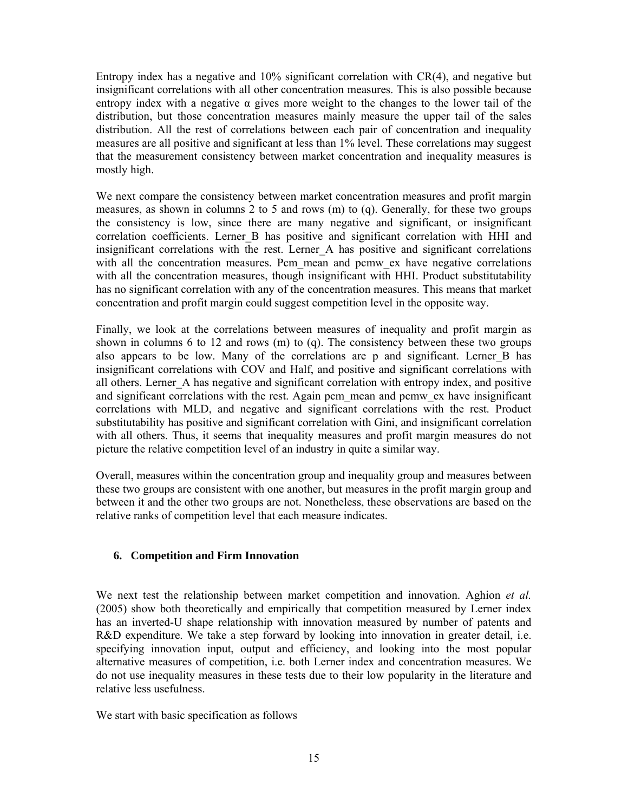Entropy index has a negative and 10% significant correlation with CR(4), and negative but insignificant correlations with all other concentration measures. This is also possible because entropy index with a negative α gives more weight to the changes to the lower tail of the distribution, but those concentration measures mainly measure the upper tail of the sales distribution. All the rest of correlations between each pair of concentration and inequality measures are all positive and significant at less than 1% level. These correlations may suggest that the measurement consistency between market concentration and inequality measures is mostly high.

We next compare the consistency between market concentration measures and profit margin measures, as shown in columns 2 to 5 and rows (m) to (q). Generally, for these two groups the consistency is low, since there are many negative and significant, or insignificant correlation coefficients. Lerner B has positive and significant correlation with HHI and insignificant correlations with the rest. Lerner A has positive and significant correlations with all the concentration measures. Pcm mean and pcmw ex have negative correlations with all the concentration measures, though insignificant with HHI. Product substitutability has no significant correlation with any of the concentration measures. This means that market concentration and profit margin could suggest competition level in the opposite way.

Finally, we look at the correlations between measures of inequality and profit margin as shown in columns 6 to 12 and rows (m) to (q). The consistency between these two groups also appears to be low. Many of the correlations are p and significant. Lerner\_B has insignificant correlations with COV and Half, and positive and significant correlations with all others. Lerner A has negative and significant correlation with entropy index, and positive and significant correlations with the rest. Again pcm\_mean and pcmw\_ex have insignificant correlations with MLD, and negative and significant correlations with the rest. Product substitutability has positive and significant correlation with Gini, and insignificant correlation with all others. Thus, it seems that inequality measures and profit margin measures do not picture the relative competition level of an industry in quite a similar way.

Overall, measures within the concentration group and inequality group and measures between these two groups are consistent with one another, but measures in the profit margin group and between it and the other two groups are not. Nonetheless, these observations are based on the relative ranks of competition level that each measure indicates.

# **6. Competition and Firm Innovation**

We next test the relationship between market competition and innovation. Aghion *et al.* (2005) show both theoretically and empirically that competition measured by Lerner index has an inverted-U shape relationship with innovation measured by number of patents and R&D expenditure. We take a step forward by looking into innovation in greater detail, i.e. specifying innovation input, output and efficiency, and looking into the most popular alternative measures of competition, i.e. both Lerner index and concentration measures. We do not use inequality measures in these tests due to their low popularity in the literature and relative less usefulness.

We start with basic specification as follows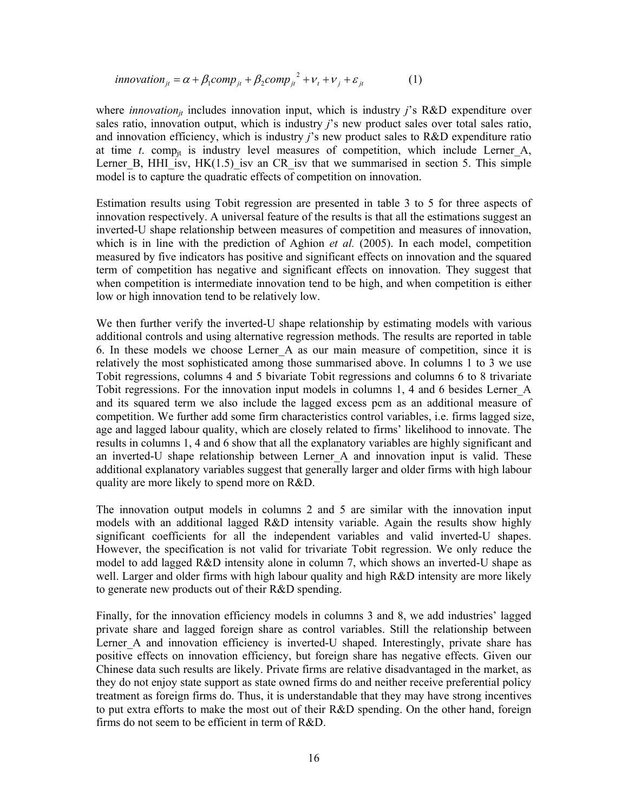$$
innovation_{it} = \alpha + \beta_1 comp_{it} + \beta_2 comp_{it}^{2} + \nu_t + \nu_j + \varepsilon_{it}
$$
 (1)

where *innovation<sub>it</sub>* includes innovation input, which is industry *j*'s R&D expenditure over sales ratio, innovation output, which is industry *j*'s new product sales over total sales ratio, and innovation efficiency, which is industry *j*'s new product sales to R&D expenditure ratio at time  $t$ . comp<sub>it</sub> is industry level measures of competition, which include Lerner A, Lerner B, HHI isv,  $HK(1.5)$  isv an CR isv that we summarised in section 5. This simple model is to capture the quadratic effects of competition on innovation.

Estimation results using Tobit regression are presented in table 3 to 5 for three aspects of innovation respectively. A universal feature of the results is that all the estimations suggest an inverted-U shape relationship between measures of competition and measures of innovation, which is in line with the prediction of Aghion *et al.* (2005). In each model, competition measured by five indicators has positive and significant effects on innovation and the squared term of competition has negative and significant effects on innovation. They suggest that when competition is intermediate innovation tend to be high, and when competition is either low or high innovation tend to be relatively low.

We then further verify the inverted-U shape relationship by estimating models with various additional controls and using alternative regression methods. The results are reported in table 6. In these models we choose Lerner\_A as our main measure of competition, since it is relatively the most sophisticated among those summarised above. In columns 1 to 3 we use Tobit regressions, columns 4 and 5 bivariate Tobit regressions and columns 6 to 8 trivariate Tobit regressions. For the innovation input models in columns 1, 4 and 6 besides Lerner\_A and its squared term we also include the lagged excess pcm as an additional measure of competition. We further add some firm characteristics control variables, i.e. firms lagged size, age and lagged labour quality, which are closely related to firms' likelihood to innovate. The results in columns 1, 4 and 6 show that all the explanatory variables are highly significant and an inverted-U shape relationship between Lerner A and innovation input is valid. These additional explanatory variables suggest that generally larger and older firms with high labour quality are more likely to spend more on R&D.

The innovation output models in columns 2 and 5 are similar with the innovation input models with an additional lagged R&D intensity variable. Again the results show highly significant coefficients for all the independent variables and valid inverted-U shapes. However, the specification is not valid for trivariate Tobit regression. We only reduce the model to add lagged R&D intensity alone in column 7, which shows an inverted-U shape as well. Larger and older firms with high labour quality and high R&D intensity are more likely to generate new products out of their R&D spending.

Finally, for the innovation efficiency models in columns 3 and 8, we add industries' lagged private share and lagged foreign share as control variables. Still the relationship between Lerner A and innovation efficiency is inverted-U shaped. Interestingly, private share has positive effects on innovation efficiency, but foreign share has negative effects. Given our Chinese data such results are likely. Private firms are relative disadvantaged in the market, as they do not enjoy state support as state owned firms do and neither receive preferential policy treatment as foreign firms do. Thus, it is understandable that they may have strong incentives to put extra efforts to make the most out of their R&D spending. On the other hand, foreign firms do not seem to be efficient in term of R&D.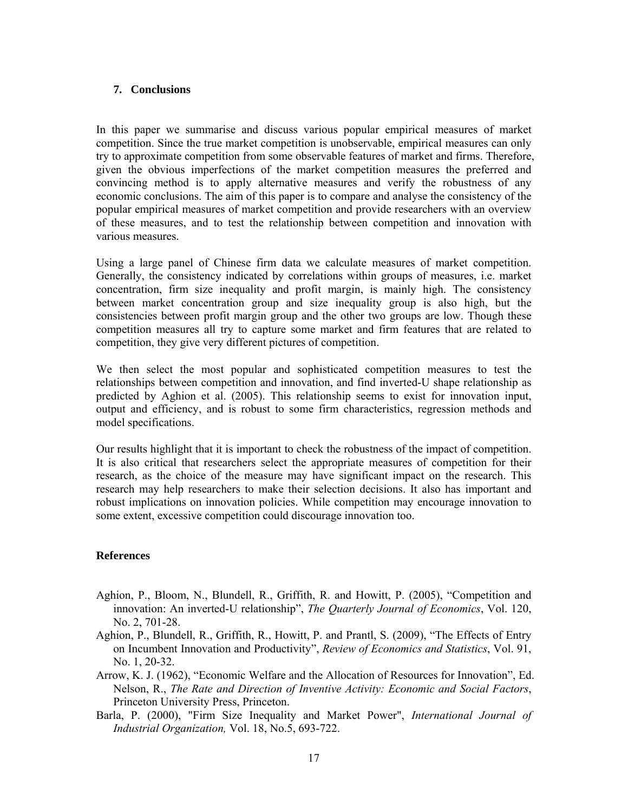#### **7. Conclusions**

In this paper we summarise and discuss various popular empirical measures of market competition. Since the true market competition is unobservable, empirical measures can only try to approximate competition from some observable features of market and firms. Therefore, given the obvious imperfections of the market competition measures the preferred and convincing method is to apply alternative measures and verify the robustness of any economic conclusions. The aim of this paper is to compare and analyse the consistency of the popular empirical measures of market competition and provide researchers with an overview of these measures, and to test the relationship between competition and innovation with various measures.

Using a large panel of Chinese firm data we calculate measures of market competition. Generally, the consistency indicated by correlations within groups of measures, i.e. market concentration, firm size inequality and profit margin, is mainly high. The consistency between market concentration group and size inequality group is also high, but the consistencies between profit margin group and the other two groups are low. Though these competition measures all try to capture some market and firm features that are related to competition, they give very different pictures of competition.

We then select the most popular and sophisticated competition measures to test the relationships between competition and innovation, and find inverted-U shape relationship as predicted by Aghion et al. (2005). This relationship seems to exist for innovation input, output and efficiency, and is robust to some firm characteristics, regression methods and model specifications.

Our results highlight that it is important to check the robustness of the impact of competition. It is also critical that researchers select the appropriate measures of competition for their research, as the choice of the measure may have significant impact on the research. This research may help researchers to make their selection decisions. It also has important and robust implications on innovation policies. While competition may encourage innovation to some extent, excessive competition could discourage innovation too.

# **References**

- Aghion, P., Bloom, N., Blundell, R., Griffith, R. and Howitt, P. (2005), "Competition and innovation: An inverted-U relationship", *The Quarterly Journal of Economics*, Vol. 120, No. 2, 701-28.
- Aghion, P., Blundell, R., Griffith, R., Howitt, P. and Prantl, S. (2009), "The Effects of Entry on Incumbent Innovation and Productivity", *Review of Economics and Statistics*, Vol. 91, No. 1, 20-32.
- Arrow, K. J. (1962), "Economic Welfare and the Allocation of Resources for Innovation", Ed. Nelson, R., *The Rate and Direction of Inventive Activity: Economic and Social Factors*, Princeton University Press, Princeton.
- Barla, P. (2000), "Firm Size Inequality and Market Power", *International Journal of Industrial Organization,* Vol. 18, No.5, 693-722.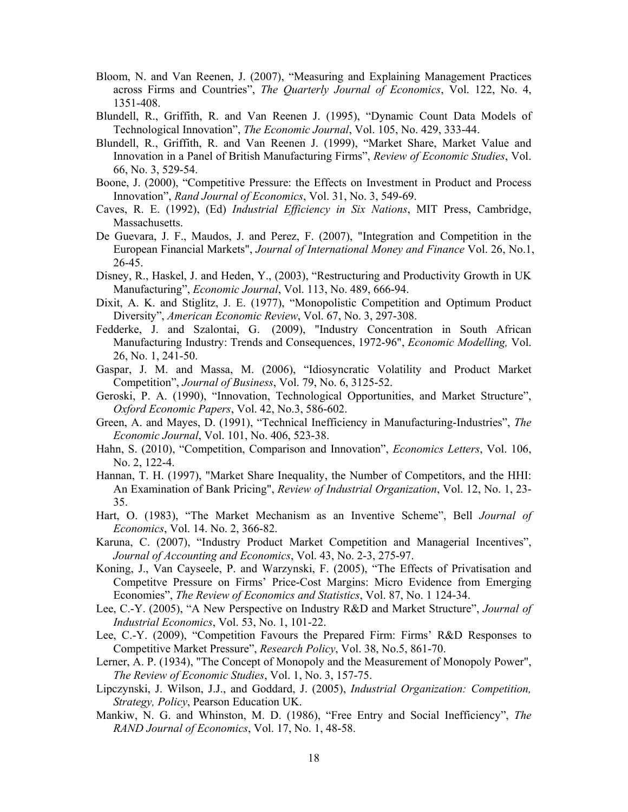- Bloom, N. and Van Reenen, J. (2007), "Measuring and Explaining Management Practices across Firms and Countries", *The Quarterly Journal of Economics*, Vol. 122, No. 4, 1351-408.
- Blundell, R., Griffith, R. and Van Reenen J. (1995), "Dynamic Count Data Models of Technological Innovation", *The Economic Journal*, Vol. 105, No. 429, 333-44.
- Blundell, R., Griffith, R. and Van Reenen J. (1999), "Market Share, Market Value and Innovation in a Panel of British Manufacturing Firms", *Review of Economic Studies*, Vol. 66, No. 3, 529-54.
- Boone, J. (2000), "Competitive Pressure: the Effects on Investment in Product and Process Innovation", *Rand Journal of Economics*, Vol. 31, No. 3, 549-69.
- Caves, R. E. (1992), (Ed) *Industrial Efficiency in Six Nations*, MIT Press, Cambridge, Massachusetts.
- De Guevara, J. F., Maudos, J. and Perez, F. (2007), "Integration and Competition in the European Financial Markets", *Journal of International Money and Finance* Vol. 26, No.1, 26-45.
- Disney, R., Haskel, J. and Heden, Y., (2003), "Restructuring and Productivity Growth in UK Manufacturing", *Economic Journal*, Vol. 113, No. 489, 666-94.
- Dixit, A. K. and Stiglitz, J. E. (1977), "Monopolistic Competition and Optimum Product Diversity", *American Economic Review*, Vol. 67, No. 3, 297-308.
- Fedderke, J. and Szalontai, G. (2009), "Industry Concentration in South African Manufacturing Industry: Trends and Consequences, 1972-96", *Economic Modelling,* Vol. 26, No. 1, 241-50.
- Gaspar, J. M. and Massa, M. (2006), "Idiosyncratic Volatility and Product Market Competition", *Journal of Business*, Vol. 79, No. 6, 3125-52.
- Geroski, P. A. (1990), "Innovation, Technological Opportunities, and Market Structure", *Oxford Economic Papers*, Vol. 42, No.3, 586-602.
- Green, A. and Mayes, D. (1991), "Technical Inefficiency in Manufacturing-Industries", *The Economic Journal*, Vol. 101, No. 406, 523-38.
- Hahn, S. (2010), "Competition, Comparison and Innovation", *Economics Letters*, Vol. 106, No. 2, 122-4.
- Hannan, T. H. (1997), "Market Share Inequality, the Number of Competitors, and the HHI: An Examination of Bank Pricing", *Review of Industrial Organization*, Vol. 12, No. 1, 23- 35.
- Hart, O. (1983), "The Market Mechanism as an Inventive Scheme", Bell *Journal of Economics*, Vol. 14. No. 2, 366-82.
- Karuna, C. (2007), "Industry Product Market Competition and Managerial Incentives", *Journal of Accounting and Economics*, Vol. 43, No. 2-3, 275-97.
- Koning, J., Van Cayseele, P. and Warzynski, F. (2005), "The Effects of Privatisation and Competitve Pressure on Firms' Price-Cost Margins: Micro Evidence from Emerging Economies", *The Review of Economics and Statistics*, Vol. 87, No. 1 124-34.
- Lee, C.-Y. (2005), "A New Perspective on Industry R&D and Market Structure", *Journal of Industrial Economics*, Vol. 53, No. 1, 101-22.
- Lee, C.-Y. (2009), "Competition Favours the Prepared Firm: Firms' R&D Responses to Competitive Market Pressure", *Research Policy*, Vol. 38, No.5, 861-70.
- Lerner, A. P. (1934), "The Concept of Monopoly and the Measurement of Monopoly Power", *The Review of Economic Studies*, Vol. 1, No. 3, 157-75.
- Lipczynski, J. Wilson, J.J., and Goddard, J. (2005), *Industrial Organization: Competition, Strategy, Policy*, Pearson Education UK.
- Mankiw, N. G. and Whinston, M. D. (1986), "Free Entry and Social Inefficiency", *The RAND Journal of Economics*, Vol. 17, No. 1, 48-58.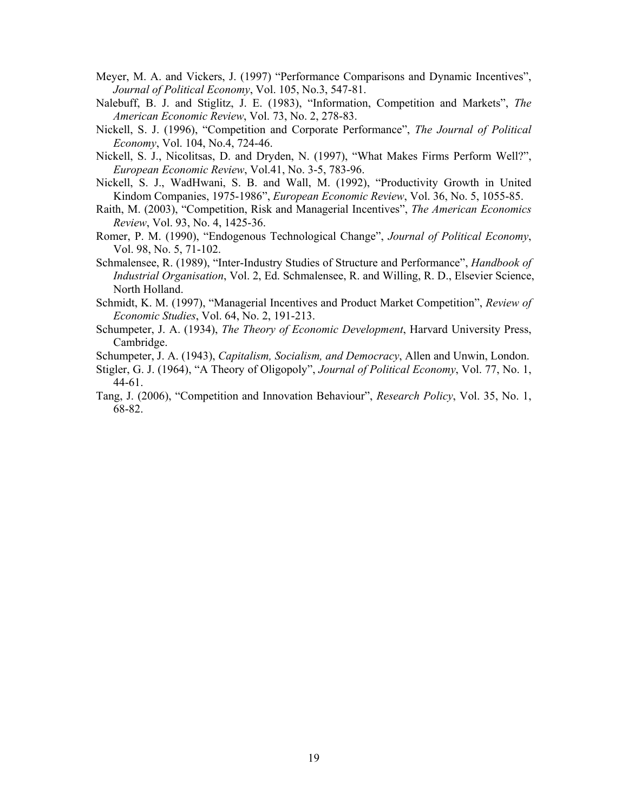- Meyer, M. A. and Vickers, J. (1997) "Performance Comparisons and Dynamic Incentives", *Journal of Political Economy*, Vol. 105, No.3, 547-81.
- Nalebuff, B. J. and Stiglitz, J. E. (1983), "Information, Competition and Markets", *The American Economic Review*, Vol. 73, No. 2, 278-83.
- Nickell, S. J. (1996), "Competition and Corporate Performance", *The Journal of Political Economy*, Vol. 104, No.4, 724-46.
- Nickell, S. J., Nicolitsas, D. and Dryden, N. (1997), "What Makes Firms Perform Well?", *European Economic Review*, Vol.41, No. 3-5, 783-96.
- Nickell, S. J., WadHwani, S. B. and Wall, M. (1992), "Productivity Growth in United Kindom Companies, 1975-1986", *European Economic Review*, Vol. 36, No. 5, 1055-85.
- Raith, M. (2003), "Competition, Risk and Managerial Incentives", *The American Economics Review*, Vol. 93, No. 4, 1425-36.
- Romer, P. M. (1990), "Endogenous Technological Change", *Journal of Political Economy*, Vol. 98, No. 5, 71-102.
- Schmalensee, R. (1989), "Inter-Industry Studies of Structure and Performance", *Handbook of Industrial Organisation*, Vol. 2, Ed. Schmalensee, R. and Willing, R. D., Elsevier Science, North Holland.
- Schmidt, K. M. (1997), "Managerial Incentives and Product Market Competition", *Review of Economic Studies*, Vol. 64, No. 2, 191-213.
- Schumpeter, J. A. (1934), *The Theory of Economic Development*, Harvard University Press, Cambridge.
- Schumpeter, J. A. (1943), *Capitalism, Socialism, and Democracy*, Allen and Unwin, London.
- Stigler, G. J. (1964), "A Theory of Oligopoly", *Journal of Political Economy*, Vol. 77, No. 1, 44-61.
- Tang, J. (2006), "Competition and Innovation Behaviour", *Research Policy*, Vol. 35, No. 1, 68-82.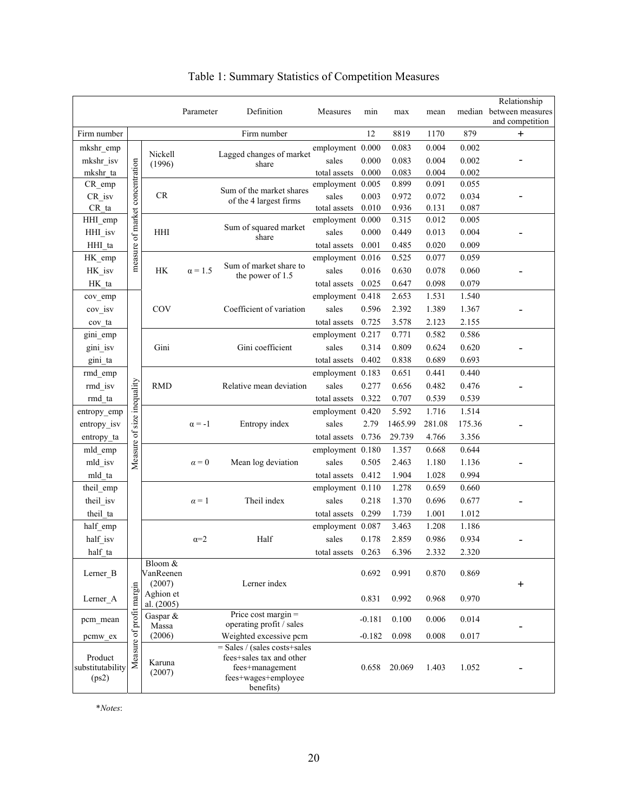|                                      |                                 |                                | Parameter      | Definition                                                         | Measures                         | min      | max            | mean           |                | Relationship<br>median between measures |  |
|--------------------------------------|---------------------------------|--------------------------------|----------------|--------------------------------------------------------------------|----------------------------------|----------|----------------|----------------|----------------|-----------------------------------------|--|
|                                      |                                 |                                |                |                                                                    |                                  |          |                |                |                | and competition                         |  |
| Firm number                          |                                 |                                |                | Firm number                                                        |                                  | 12       | 8819           | 1170           | 879            | $\ddot{}$                               |  |
| mkshr_emp                            |                                 | Nickell                        |                | Lagged changes of market                                           | employment 0.000                 |          | 0.083          | 0.004          | 0.002          |                                         |  |
| mkshr_isv                            |                                 | (1996)                         |                | share                                                              | sales                            | 0.000    | 0.083          | 0.004          | 0.002          |                                         |  |
| mkshr_ta<br>CR_emp                   |                                 |                                |                |                                                                    | total assets<br>employment 0.005 | 0.000    | 0.083<br>0.899 | 0.004<br>0.091 | 0.002<br>0.055 |                                         |  |
| CR_isv                               |                                 | CR                             |                | Sum of the market shares                                           | sales                            | 0.003    | 0.972          | 0.072          | 0.034          |                                         |  |
| $CR_t$                               |                                 |                                |                | of the 4 largest firms                                             | total assets                     | 0.010    | 0.936          | 0.131          | 0.087          |                                         |  |
| HHI_emp                              |                                 |                                |                |                                                                    | employment 0.000                 |          | 0.315          | 0.012          | 0.005          |                                         |  |
| HHI_isv                              |                                 | <b>HHI</b>                     |                | Sum of squared market                                              | sales                            | 0.000    | 0.449          | 0.013          | 0.004          |                                         |  |
| HHI_ta                               |                                 |                                |                | share                                                              | total assets                     | 0.001    | 0.485          | 0.020          | 0.009          |                                         |  |
| HK_emp                               | measure of market concentration |                                |                |                                                                    | employment 0.016                 |          | 0.525          | 0.077          | 0.059          |                                         |  |
| HK isv                               |                                 | HK                             | $\alpha = 1.5$ | Sum of market share to                                             | sales                            | 0.016    | 0.630          | 0.078          | 0.060          |                                         |  |
| HK_ta                                |                                 |                                |                | the power of 1.5                                                   | total assets                     | 0.025    | 0.647          | 0.098          | 0.079          |                                         |  |
| cov_emp                              |                                 |                                |                |                                                                    | employment 0.418                 |          | 2.653          | 1.531          | 1.540          |                                         |  |
| $cov$ <sub>_isv</sub>                |                                 | COV                            |                | Coefficient of variation                                           | sales                            | 0.596    | 2.392          | 1.389          | 1.367          |                                         |  |
| cov ta                               |                                 |                                |                |                                                                    | total assets                     | 0.725    | 3.578          | 2.123          | 2.155          |                                         |  |
| gini emp                             |                                 |                                |                |                                                                    | employment 0.217                 |          | 0.771          | 0.582          | 0.586          |                                         |  |
| gini_isv                             |                                 | Gini                           |                | Gini coefficient                                                   | sales                            | 0.314    | 0.809          | 0.624          | 0.620          |                                         |  |
| gini ta                              |                                 |                                |                |                                                                    | total assets                     | 0.402    | 0.838          | 0.689          | 0.693          |                                         |  |
| rmd emp                              |                                 |                                |                |                                                                    | employment 0.183                 |          | 0.651          | 0.441          | 0.440          |                                         |  |
| rmd isv                              |                                 | <b>RMD</b>                     |                | Relative mean deviation                                            | sales                            | 0.277    | 0.656          | 0.482          | 0.476          |                                         |  |
| rmd_ta                               |                                 |                                |                |                                                                    | total assets                     | 0.322    | 0.707          | 0.539          | 0.539          |                                         |  |
| entropy_emp                          | Measure of size inequality      |                                |                |                                                                    | employment 0.420                 |          | 5.592          | 1.716          | 1.514          |                                         |  |
| entropy_isv                          |                                 |                                | $\alpha = -1$  | Entropy index                                                      | sales                            | 2.79     | 1465.99        | 281.08         | 175.36         |                                         |  |
| entropy_ta                           |                                 |                                |                |                                                                    | total assets                     | 0.736    | 29.739         | 4.766          | 3.356          |                                         |  |
| mld_emp                              |                                 |                                |                |                                                                    | employment 0.180                 |          | 1.357          | 0.668          | 0.644          |                                         |  |
| mld_isv                              |                                 |                                | $\alpha = 0$   | Mean log deviation                                                 | sales                            | 0.505    | 2.463          | 1.180          | 1.136          |                                         |  |
| mld_ta                               |                                 |                                |                |                                                                    | total assets                     | 0.412    | 1.904          | 1.028          | 0.994          |                                         |  |
| theil_emp                            |                                 |                                |                |                                                                    | employment 0.110                 |          | 1.278          | 0.659          | 0.660          |                                         |  |
| theil_isv                            |                                 |                                | $\alpha = 1$   | Theil index                                                        | sales                            | 0.218    | 1.370          | 0.696          | 0.677          |                                         |  |
| theil ta                             |                                 |                                |                |                                                                    | total assets                     | 0.299    | 1.739          | 1.001          | 1.012          |                                         |  |
| half_emp                             |                                 |                                |                |                                                                    | employment 0.087                 |          | 3.463          | 1.208          | 1.186          |                                         |  |
| half_isv                             |                                 |                                | $\alpha=2$     | Half                                                               | sales                            | 0.178    | 2.859          | 0.986          | 0.934          |                                         |  |
| half ta                              |                                 |                                |                |                                                                    | total assets $0.263$             |          | 6.396          | 2.332          | 2.320          |                                         |  |
| Lerner B                             |                                 | Bloom &<br>VanReenen<br>(2007) |                | Lerner index                                                       |                                  | 0.692    | 0.991          | 0.870          | 0.869          | $\ddot{}$                               |  |
| Lerner_A                             |                                 | Aghion et<br>al. (2005)        |                |                                                                    |                                  | 0.831    | 0.992          | 0.968          | 0.970          |                                         |  |
| pcm mean                             |                                 | Gaspar &                       |                | Price cost margin $=$                                              |                                  | $-0.181$ | 0.100          | 0.006          | 0.014          |                                         |  |
| pcmw_ex                              |                                 | Massa<br>(2006)                |                | operating profit / sales<br>Weighted excessive pcm                 |                                  | $-0.182$ | 0.098          | 0.008          | 0.017          |                                         |  |
|                                      |                                 |                                |                | $=$ Sales / (sales costs+sales                                     |                                  |          |                |                |                |                                         |  |
| Product<br>substitutability<br>(ps2) | Measure of profit margin        | Karuna<br>(2007)               |                | fees+sales tax and other<br>fees+management<br>fees+wages+employee |                                  | 0.658    | 20.069         | 1.403          | 1.052          |                                         |  |
|                                      |                                 |                                |                | benefits)                                                          |                                  |          |                |                |                |                                         |  |

# Table 1: Summary Statistics of Competition Measures

\**Notes*: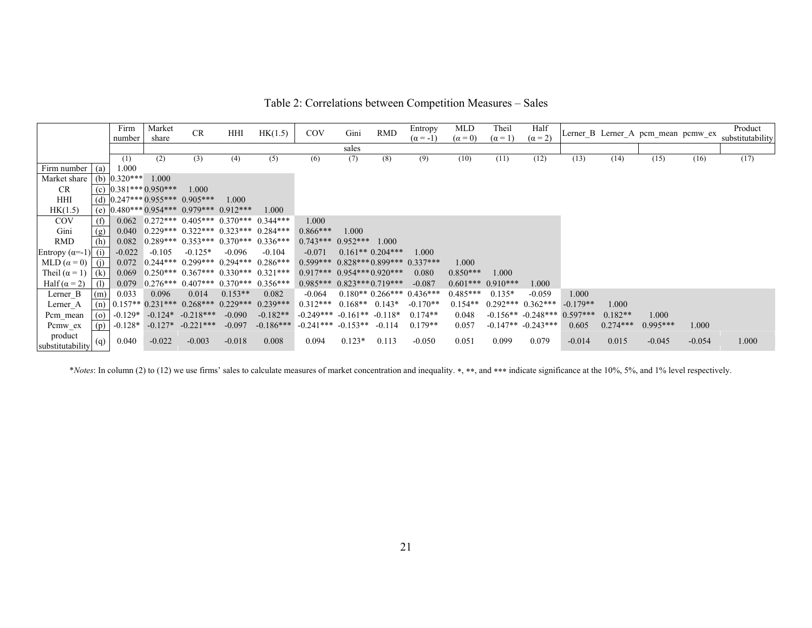|                             |          | Firm<br>number | Market<br>share    | CR                                          | HHI       | HK(1.5)                                     | COV                    | Gini               | <b>RMD</b>        | Entropy<br>$(\alpha = -1)$ | MLD<br>$(\alpha = 0)$ | Theil<br>$(\alpha = 1)$ | Half<br>$(\alpha = 2)$ |            |            | Lerner_B Lerner_A pcm_mean pcmw_ex |          | Product<br>substitutability |
|-----------------------------|----------|----------------|--------------------|---------------------------------------------|-----------|---------------------------------------------|------------------------|--------------------|-------------------|----------------------------|-----------------------|-------------------------|------------------------|------------|------------|------------------------------------|----------|-----------------------------|
|                             |          |                |                    |                                             |           |                                             |                        | sales              |                   |                            |                       |                         |                        |            |            |                                    |          |                             |
|                             |          | (1)            | (2)                | (3)                                         | (4)       | (5)                                         | (6)                    | (7)                | (8)               | (9)                        | (10)                  | (11)                    | (12)                   | (13)       | (14)       | (15)                               | (16)     | (17)                        |
| Firm number                 | (a)      | 1.000          |                    |                                             |           |                                             |                        |                    |                   |                            |                       |                         |                        |            |            |                                    |          |                             |
| Market share                | (b)      | $0.320***$     | 1.000              |                                             |           |                                             |                        |                    |                   |                            |                       |                         |                        |            |            |                                    |          |                             |
| CR.                         | (c)      |                | $0.381***0.950***$ | 1.000                                       |           |                                             |                        |                    |                   |                            |                       |                         |                        |            |            |                                    |          |                             |
| HHI                         |          |                |                    | (d) $0.247***0.955***0.905***$              | 1.000     |                                             |                        |                    |                   |                            |                       |                         |                        |            |            |                                    |          |                             |
| HK(1.5)                     | (e)      |                |                    | $0.480***0.954***0.979***0.912***$          |           | 1.000                                       |                        |                    |                   |                            |                       |                         |                        |            |            |                                    |          |                             |
| <b>COV</b>                  | (f)      | 0.062          |                    | $0.272***$ 0.405*** 0.370*** 0.344***       |           |                                             | 1.000                  |                    |                   |                            |                       |                         |                        |            |            |                                    |          |                             |
| Gini                        | (g)      | 0.040          |                    | $0.229***$ $0.322***$ $0.323***$ $0.284***$ |           |                                             | $0.866***$             | 1.000              |                   |                            |                       |                         |                        |            |            |                                    |          |                             |
| <b>RMD</b>                  | (h)      | 0.082          |                    | $0.289***$ $0.353***$ $0.370***$            |           | $0.336***$                                  | $0.743***$             | $0.952***$         | 1.000             |                            |                       |                         |                        |            |            |                                    |          |                             |
| Entropy $(\alpha=-1)$ (i)   |          | $-0.022$       | $-0.105$           | $-0.125*$                                   | $-0.096$  | $-0.104$                                    | $-0.071$               |                    | $0.161**0.204***$ | 1.000                      |                       |                         |                        |            |            |                                    |          |                             |
| MLD $(\alpha = 0)$ (i)      |          | 0.072          |                    | $0.244***$ 0.299*** 0.294***                |           | $0.286***$                                  | $0.599***$             |                    |                   | $0.828***0.899***0.337***$ | 1.000                 |                         |                        |            |            |                                    |          |                             |
| Theil $(\alpha = 1)$        | (k)      | 0.069          |                    |                                             |           | $0.250***$ $0.367***$ $0.330***$ $0.321***$ | $0.917***$             | $0.954***0.920***$ |                   | 0.080                      | $0.850***$            | 1.000                   |                        |            |            |                                    |          |                             |
| Half $(\alpha = 2)$         | l (1)    | 0.079          |                    | $0.276***$ 0.407*** 0.370***                |           | $0.356***$                                  | $0.985***$             | $0.823***0.719***$ |                   | $-0.087$                   |                       | $0.601***$ 0.910***     | 1.000                  |            |            |                                    |          |                             |
| Lerner B                    | (m)      | 0.033          | 0.096              | 0.014                                       | $0.153**$ | 0.082                                       | $-0.064$               |                    |                   | $0.180**0.266***0.436***$  | $0.485***$            | $0.135*$                | $-0.059$               | 1.000      |            |                                    |          |                             |
| Lerner A                    | (n)      |                |                    | $0.157**$ 0.231*** 0.268*** 0.229***        |           | $0.239***$                                  | $0.312***$             | $0.168**$          | $0.143*$          | $-0.170**$                 | $0.154**$             |                         | $0.292***$ $0.362***$  | $-0.179**$ | 1.000      |                                    |          |                             |
| Pcm mean                    | $\omega$ | $-0.129*$      | $-0.124*$          | $-0.218***$                                 | $-0.090$  | $-0.182**$                                  | $-0.249***$            | $-0.161**$         | $-0.118*$         | $0.174**$                  | 0.048                 |                         | $-0.156**$ $-0.248***$ | $0.597***$ | $0.182**$  | 1.000                              |          |                             |
|                             |          |                | $-0.127*$          | $-0.221***$                                 | $-0.097$  | $-0.186***$                                 | $-0.241***$ $-0.153**$ |                    | -0 1 1 4          | $0.179**$                  | 0.057                 |                         | $-0.147**$ $-0.243***$ | 0.605      | $0.274***$ | $0.995***$                         | 1.000    |                             |
| Pcmw ex                     | (p)      | $-0.128*$      |                    |                                             |           |                                             |                        |                    |                   |                            |                       |                         |                        |            |            |                                    |          |                             |
| product<br>substitutability | (q)      | 0.040          | $-0.022$           | $-0.003$                                    | $-0.018$  | 0.008                                       | 0.094                  | $0.123*$           | 0.113             | $-0.050$                   | 0.051                 | 0.099                   | 0.079                  | $-0.014$   | 0.015      | $-0.045$                           | $-0.054$ | 1.000                       |

\**Notes*: In column (2) to (12) we use firms' sales to calculate measures of market concentration and inequality. \*, \*\*, and \*\*\* indicate significance at the 10%, 5%, and 1% level respectively.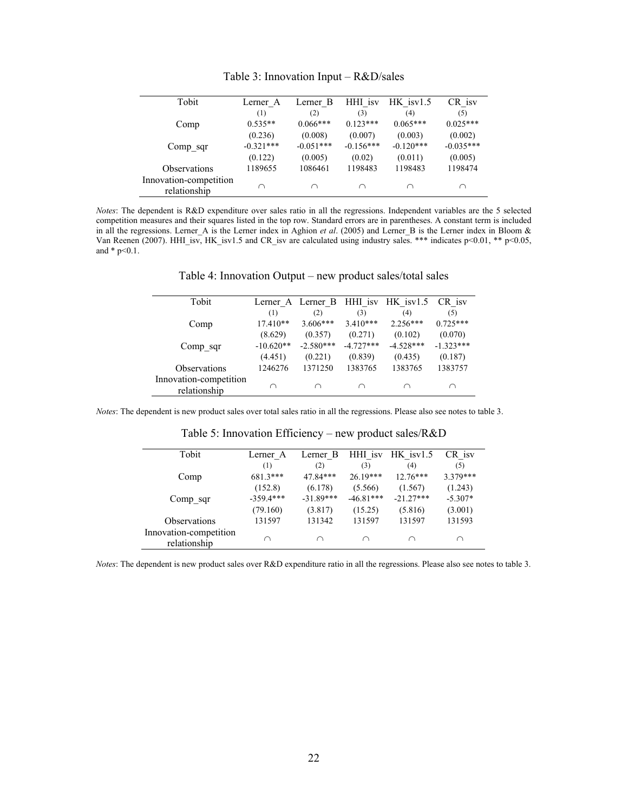| Tobit                                  | Lerner A    | Lerner B    | HHI isv     | $HK$ is $v1.5$ | CR isv      |
|----------------------------------------|-------------|-------------|-------------|----------------|-------------|
|                                        | (1)         | (2)         | (3)         | (4)            | (5)         |
| Comp                                   | $0.535**$   | $0.066***$  | $0.123***$  | $0.065***$     | $0.025***$  |
|                                        | (0.236)     | (0.008)     | (0.007)     | (0.003)        | (0.002)     |
| Comp sqr                               | $-0.321***$ | $-0.051***$ | $-0.156***$ | $-0.120***$    | $-0.035***$ |
|                                        | (0.122)     | (0.005)     | (0.02)      | (0.011)        | (0.005)     |
| Observations                           | 1189655     | 1086461     | 1198483     | 1198483        | 1198474     |
| Innovation-competition<br>relationship | ∩           |             | ∩           | ∩              | ∩           |

Table 3: Innovation Input – R&D/sales

*Notes*: The dependent is R&D expenditure over sales ratio in all the regressions. Independent variables are the 5 selected competition measures and their squares listed in the top row. Standard errors are in parentheses. A constant term is included in all the regressions. Lerner\_A is the Lerner index in Aghion *et al*. (2005) and Lerner\_B is the Lerner index in Bloom & Van Reenen (2007). HHI\_isv, HK\_isv1.5 and CR\_isv are calculated using industry sales. \*\*\* indicates p<0.01, \*\* p<0.05, and  $*$  p<0.1.

| Tobit                                  |             | Lerner A Lerner B |             | HHI isv HK isv1.5 | CR isv      |
|----------------------------------------|-------------|-------------------|-------------|-------------------|-------------|
|                                        | (1)         | (2)               | (3)         | (4)               | (5)         |
| Comp                                   | $17.410**$  | $3.606***$        | $3.410***$  | $2.256***$        | $0.725***$  |
|                                        | (8.629)     | (0.357)           | (0.271)     | (0.102)           | (0.070)     |
| Comp sqr                               | $-10.620**$ | $-2.580***$       | $-4.727***$ | $-4.528***$       | $-1.323***$ |
|                                        | (4.451)     | (0.221)           | (0.839)     | (0.435)           | (0.187)     |
| <b>Observations</b>                    | 1246276     | 1371250           | 1383765     | 1383765           | 1383757     |
| Innovation-competition<br>relationship |             | ⌒                 | ⌒           | ⌒                 | ⌒           |

Table 4: Innovation Output – new product sales/total sales

*Notes*: The dependent is new product sales over total sales ratio in all the regressions. Please also see notes to table 3.

L,

 $\overline{a}$ 

| Tobit                                  | Lerner A    | Lerner B    | HHI isv     | $HK$ is $v1.5$ | CR is v   |  |
|----------------------------------------|-------------|-------------|-------------|----------------|-----------|--|
|                                        | (1)         | (2)         | (3)         | (4)            | (5)       |  |
| Comp                                   | $681.3***$  | 47.84***    | $26.19***$  | $12.76***$     | 3.379***  |  |
|                                        | (152.8)     | (6.178)     | (5.566)     | (1.567)        | (1.243)   |  |
| Comp sqr                               | $-359.4***$ | $-31.89***$ | $-46.81***$ | $-21.27***$    | $-5.307*$ |  |
|                                        | (79.160)    | (3.817)     | (15.25)     | (5.816)        | (3.001)   |  |
| <b>Observations</b>                    | 131597      | 131342      | 131597      | 131597         | 131593    |  |
| Innovation-competition<br>relationship | ∩           | ∩           | $\cap$      | ⌒              | ∩         |  |

Table 5: Innovation Efficiency – new product sales/R&D

*Notes*: The dependent is new product sales over R&D expenditure ratio in all the regressions. Please also see notes to table 3.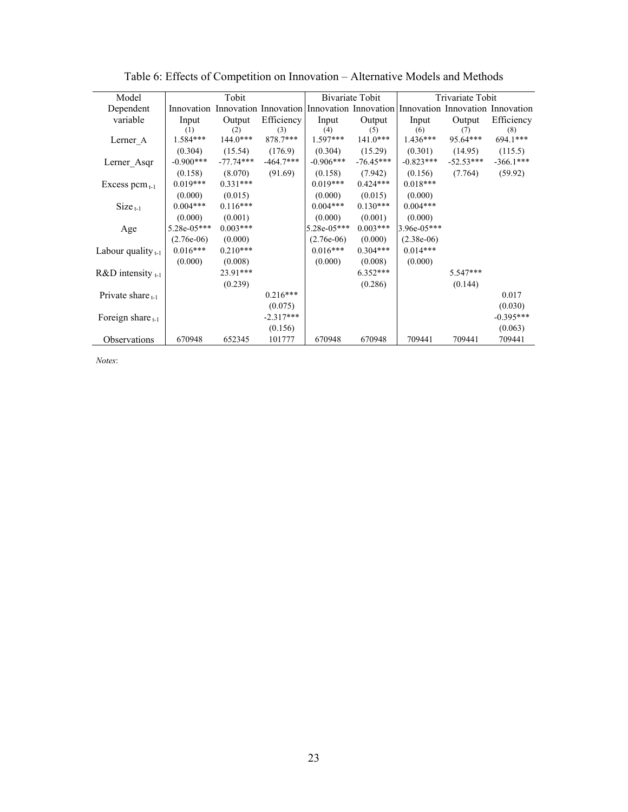| Model                   |               | Tobit       |             |                                                                                         | Bivariate Tobit |              | Trivariate Tobit |             |
|-------------------------|---------------|-------------|-------------|-----------------------------------------------------------------------------------------|-----------------|--------------|------------------|-------------|
| Dependent               |               |             |             | Innovation Innovation Innovation Innovation Innovation Innovation Innovation Innovation |                 |              |                  |             |
| variable                | Input         | Output      | Efficiency  | Input                                                                                   | Output          | Input        | Output           | Efficiency  |
|                         | (1)           | (2)         | (3)         | (4)                                                                                     | (5)             | (6)          | (7)              | (8)         |
| Lerner A                | $1.584***$    | $144.0***$  | 878.7***    | $1.597***$                                                                              | $141.0***$      | $1.436***$   | 95.64***         | 694.1***    |
|                         | (0.304)       | (15.54)     | (176.9)     | (0.304)                                                                                 | (15.29)         | (0.301)      | (14.95)          | (115.5)     |
| Lerner Asqr             | $-0.900***$   | $-77.74***$ | $-464.7***$ | $-0.906***$                                                                             | $-76.45***$     | $-0.823***$  | $-52.53***$      | $-366.1***$ |
|                         | (0.158)       | (8.070)     | (91.69)     | (0.158)                                                                                 | (7.942)         | (0.156)      | (7.764)          | (59.92)     |
| Excess pcm $_{t-1}$     | $0.019***$    | $0.331***$  |             | $0.019***$                                                                              | $0.424***$      | $0.018***$   |                  |             |
|                         | (0.000)       | (0.015)     |             | (0.000)                                                                                 | (0.015)         | (0.000)      |                  |             |
| $Size_{t-1}$            | $0.004***$    | $0.116***$  |             | $0.004***$                                                                              | $0.130***$      | $0.004***$   |                  |             |
|                         | (0.000)       | (0.001)     |             | (0.000)                                                                                 | (0.001)         | (0.000)      |                  |             |
| Age                     | $5.28e-05***$ | $0.003***$  |             | 5.28e-05***                                                                             | $0.003***$      | 3.96e-05***  |                  |             |
|                         | $(2.76e-06)$  | (0.000)     |             | $(2.76e-06)$                                                                            | (0.000)         | $(2.38e-06)$ |                  |             |
| Labour quality $_{t-1}$ | $0.016***$    | $0.210***$  |             | $0.016***$                                                                              | $0.304***$      | $0.014***$   |                  |             |
|                         | (0.000)       | (0.008)     |             | (0.000)                                                                                 | (0.008)         | (0.000)      |                  |             |
| $R&D$ intensity $t-1$   |               | 23.91***    |             |                                                                                         | $6.352***$      |              | $5.547***$       |             |
|                         |               | (0.239)     |             |                                                                                         | (0.286)         |              | (0.144)          |             |
| Private share $_{t,1}$  |               |             | $0.216***$  |                                                                                         |                 |              |                  | 0.017       |
|                         |               |             | (0.075)     |                                                                                         |                 |              |                  | (0.030)     |
| Foreign share $_{t-1}$  |               |             | $-2.317***$ |                                                                                         |                 |              |                  | $-0.395***$ |
|                         |               |             | (0.156)     |                                                                                         |                 |              |                  | (0.063)     |
| Observations            | 670948        | 652345      | 101777      | 670948                                                                                  | 670948          | 709441       | 709441           | 709441      |

Table 6: Effects of Competition on Innovation – Alternative Models and Methods

*Notes*: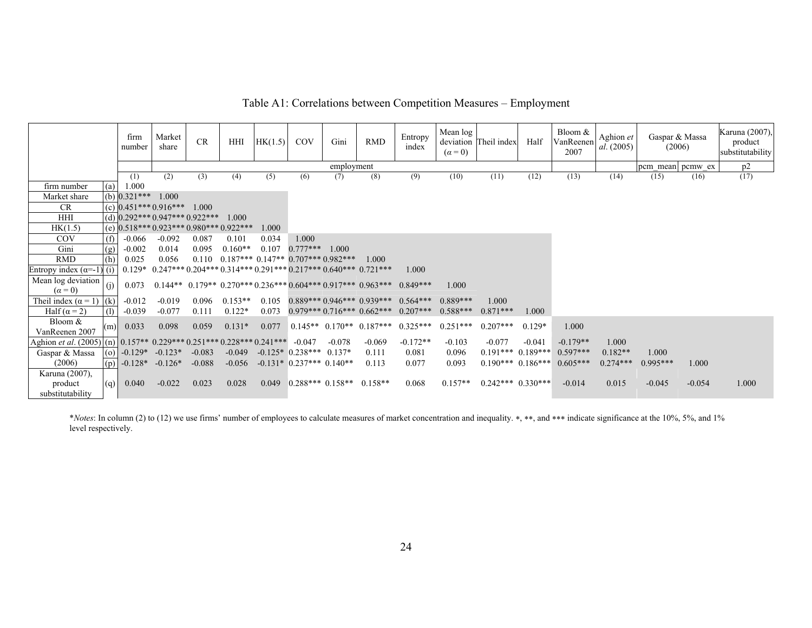|              |     | firm<br>number                         | Market<br>share | <b>CR</b> | HHI   | HK(1.5) | COV   | Gini       | <b>RMD</b> | Entropy<br>index | Mean log<br>$(\alpha = 0)$ | deviation Theil index | Half | Bloom &<br>VanReenen<br>2007 | Aghion et<br>al. (2005) | Gaspar & Massa<br>(2006) |      | Karuna (2007),<br>product<br>substitutability |
|--------------|-----|----------------------------------------|-----------------|-----------|-------|---------|-------|------------|------------|------------------|----------------------------|-----------------------|------|------------------------------|-------------------------|--------------------------|------|-----------------------------------------------|
|              |     |                                        |                 |           |       |         |       | employment |            |                  |                            |                       |      |                              |                         | pcm mean pcmw ex         |      | p2                                            |
|              |     | (1)                                    | (2)             | (3)       | (4)   | (5)     | (6)   | (7)        | (8)        | (9)              | (10)                       | (11)                  | (12) | (13)                         | (14)                    | (15)                     | (16) | (17)                                          |
| rm number    | (a) | 1.000                                  |                 |           |       |         |       |            |            |                  |                            |                       |      |                              |                         |                          |      |                                               |
| larket share |     | (b) $0.321***$                         | 1.000           |           |       |         |       |            |            |                  |                            |                       |      |                              |                         |                          |      |                                               |
| CR.          |     | $(c)$ 0.451*** 0.916***                |                 | 1.000     |       |         |       |            |            |                  |                            |                       |      |                              |                         |                          |      |                                               |
| HHI          |     | (d) $0.292***0.947***0.922***$         |                 |           | 1.000 |         |       |            |            |                  |                            |                       |      |                              |                         |                          |      |                                               |
| HK(1.5)      |     | (e) $0.518***0.923***0.980***0.922***$ |                 |           |       | 1.000   |       |            |            |                  |                            |                       |      |                              |                         |                          |      |                                               |
| COV          |     | $-0.066$                               | $-0.092$        | 0.087     | 0.101 | 0.034   | 1.000 |            |            |                  |                            |                       |      |                              |                         |                          |      |                                               |

firm number Market share CR

Table A1: Correlations between Competition Measures – Employment

| Gini                                                                      | (g) | $-0.002$      | 0.014     | 0.095    | $0.160**$                                          | 0.107 | $0.777***$               | 1.000.   |                                                                           |            |            |                       |          |            |            |            |          |       |
|---------------------------------------------------------------------------|-----|---------------|-----------|----------|----------------------------------------------------|-------|--------------------------|----------|---------------------------------------------------------------------------|------------|------------|-----------------------|----------|------------|------------|------------|----------|-------|
| <b>RMD</b>                                                                | (h) | 0.025         | 0.056     |          | $0.110$ $0.187***$ $0.147**$ $0.707***$ $0.982***$ |       |                          |          | 1.000                                                                     |            |            |                       |          |            |            |            |          |       |
| Entropy index $(\alpha=-1)$ (1)                                           |     |               |           |          |                                                    |       |                          |          | $1.0.129*$ 0.247*** 0.204*** 0.314*** 0.291*** 0.217*** 0.640*** 0.721*** | 1.000      |            |                       |          |            |            |            |          |       |
| Mean log deviation<br>$(\alpha = 0)$                                      |     | 0.073         |           |          |                                                    |       |                          |          | $0.144**$ 0.179** 0.270*** 0.236*** 0.604*** 0.917*** 0.963***            | $0.849***$ | 1.000      |                       |          |            |            |            |          |       |
| Theil index $(\alpha = 1)$ $(k)$                                          |     | $-0.012$      | $-0.019$  | 0.096    | $0.153**$                                          | 0.105 |                          |          | $0.889***0.946***0.939***0.564***$                                        |            | $0.889***$ | 1.000                 |          |            |            |            |          |       |
| Half $(\alpha = 2)$                                                       | (1) | $-0.039$      | $-0.077$  | 0.111    | $0.122*$                                           | 0.073 |                          |          | $0.979***0.716***0.662***0.207***$                                        |            | $0.588***$ | $0.871***$            | 1.000    |            |            |            |          |       |
| Bloom $&$<br>VanReenen 2007                                               | (m) | 0.033         | 0.098     | 0.059    | $0.131*$                                           | 0.077 |                          |          | $0.145**$ $0.170**$ $0.187***$                                            | $0.325***$ | $0.251***$ | $0.207$ ***           | $0.129*$ | 1.000      |            |            |          |       |
| Aghion <i>et al.</i> (2005) (n) $0.157**0.229***0.251***0.228***0.241***$ |     |               |           |          |                                                    |       | $-0.047$                 | $-0.078$ | $-0.069$                                                                  | $-0.172**$ | $-0.103$   | $-0.077$              | $-0.041$ | $-0.179**$ | 1.000      |            |          |       |
| Gaspar & Massa                                                            |     | (o) $-0.129*$ | $-0.123*$ | $-0.083$ | $-0.049$                                           |       | $-0.125*10.238***0.137*$ |          | 0.111                                                                     | 0.081      | 0.096      | $0.191***$ 0.189***   |          | $0.597***$ | $0.182**$  | 1.000      |          |       |
| (2006)                                                                    |     | $(p)$ -0.128* | $-0.126*$ | $-0.088$ | $-0.056$                                           |       | $-0.131*0.237***0.140**$ |          | 0.113                                                                     | 0.077      | 0.093      | $0.190***$ 0.186***   |          | $0.605***$ | $0.274***$ | $0.995***$ | 1.000    |       |
| Karuna (2007).                                                            |     |               |           |          |                                                    |       |                          |          |                                                                           |            |            |                       |          |            |            |            |          |       |
| product<br>substitutability                                               | (q) | 0.040         | $-0.022$  | 0.023    | 0.028                                              | 0.049 |                          |          | $0.288***0.158**0.158**$                                                  | 0.068      | $0.157**$  | $0.242***$ $0.330***$ |          | $-0.014$   | 0.015      | $-0.045$   | $-0.054$ | 1.000 |

\**Notes*: In column (2) to (12) we use firms' number of employees to calculate measures of market concentration and inequality. ∗, ∗∗, and ∗∗∗ indicate significance at the 10%, 5%, and 1% level respectively.